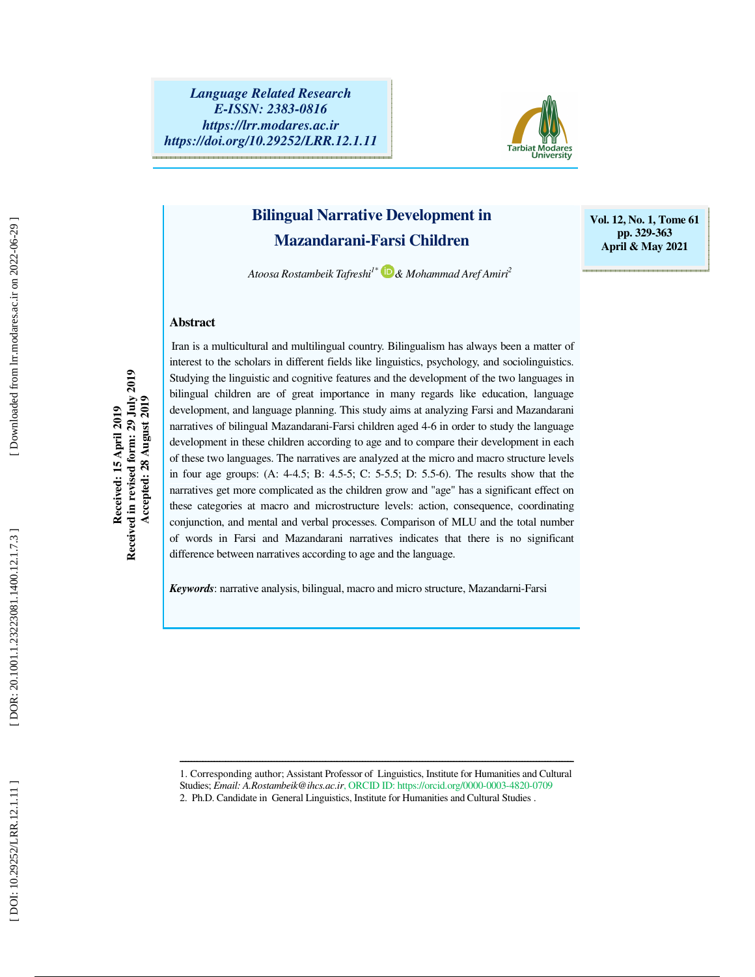

# **Bilingual Narrative Development in Mazandarani-Farsi Children**

**Vol. 12, No. 1, Tome 61 pp. 329-363 April & May 2021** 

*Atoosa Rostambeik Tafreshi1\* & Mohammad Aref Amiri<sup>2</sup>*

## **Abstract**

Received: 15 April 2019<br>Received in revised form: 29 July 2019<br>Accepted: 28 August 2019 **Received in revised form: 29 July 2019 Accepted: 28 August 2019 Received: 15 April 2019** 

Iran is a multicultural and multilingual country. Bilingualism has always been a matter of interest to the scholars in different fields like linguistics, psychology, and sociolinguistics. Studying the linguistic and cognitive features and the development of the two languages in bilingual children are of great importance in many regards like education, language development, and language planning. This study aims at analyzing Farsi and Mazandarani narratives of bilingual Mazandarani-Farsi children aged 4-6 in order to study the language development in these children according to age and to compare their development in each of these two languages. The narratives are analyzed at the micro and macro structure levels in four age groups: (A: 4-4.5; B: 4.5-5; C: 5-5.5; D: 5.5-6). The results show that the narratives get more complicated as the children grow and "age" has a significant effect on these categories at macro and microstructure levels: action, consequence, coordinating conjunction, and mental and verbal processes. Comparison of MLU and the total number of words in Farsi and Mazandarani narratives indicates that there is no significant difference between narratives according to age and the language.

*Keywords*: narrative analysis, bilingual, macro and micro structure, Mazandarni-Farsi

ــــــــــــــــــــــــــــــــــــــــــــــــــــــــــــــــــــــــــــــــــــــــــــــــــــــــــــــــــــــــــــــــــــــــــ 1. Corresponding author; Assistant Professor of Linguistics, Institute for Humanities and Cultural

Studies; *Email: A.Rostambeik@ihcs.ac.ir*, ORCID ID: https://orcid.org/0000-0003-4820-0709

<sup>2.</sup> Ph.D. Candidate in General Linguistics, Institute for Humanities and Cultural Studies .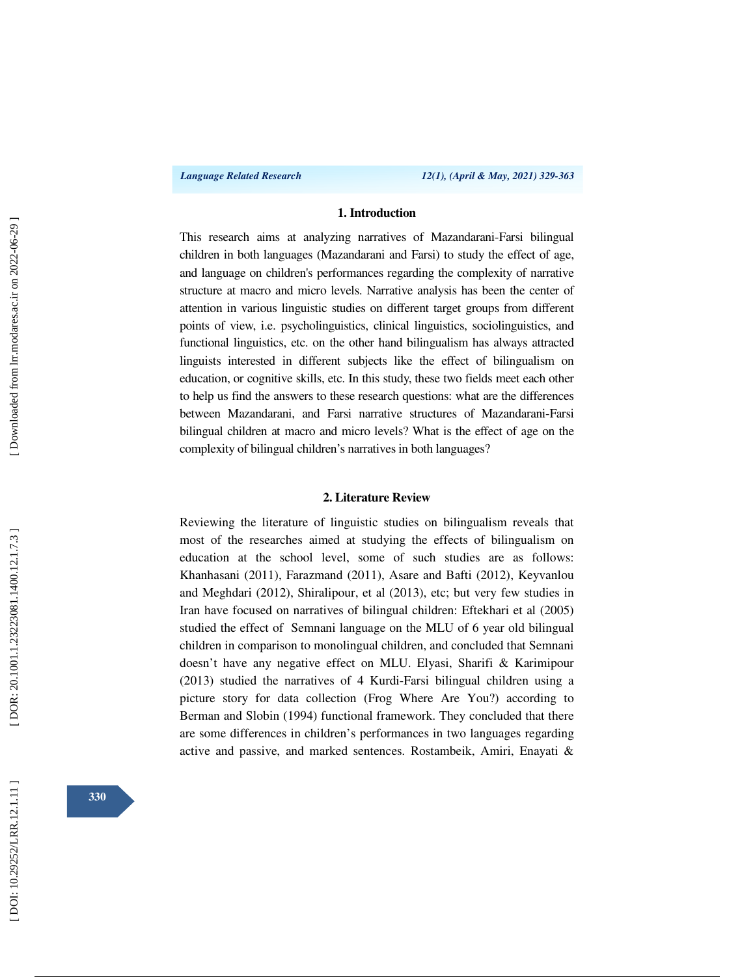### **1. Introduction**

This research aims at analyzing narratives of Mazandarani-Farsi bilingual children in both languages (Mazandarani and Farsi) to study the effect of age, and language on children's performances regarding the complexity of narrative structure at macro and micro levels. Narrative analysis has been the center of attention in various linguistic studies on different target groups from different points of view, i.e. psycholinguistics, clinical linguistics, sociolinguistics, and functional linguistics, etc. on the other hand bilingualism has always attracted linguists interested in different subjects like the effect of bilingualism on education, or cognitive skills, etc. In this study, these two fields meet each other to help us find the answers to these research questions: what are the differences between Mazandarani, and Farsi narrative structures of Mazandarani-Farsi bilingual children at macro and micro levels? What is the effect of age on the complexity of bilingual children's narratives in both languages?

#### **2. Literature Review**

Reviewing the literature of linguistic studies on bilingualism reveals that most of the researches aimed at studying the effects of bilingualism on education at the school level, some of such studies are as follows: Khanhasani (2011), Farazmand (2011), Asare and Bafti (2012), Keyvanlou and Meghdari (2012), Shiralipour, et al (2013), etc; but very few studies in Iran have focused on narratives of bilingual children: Eftekhari et al (2005) studied the effect of Semnani language on the MLU of 6 year old bilingual children in comparison to monolingual children, and concluded that Semnani doesn't have any negative effect on MLU. Elyasi, Sharifi & Karimipour (2013) studied the narratives of 4 Kurdi-Farsi bilingual children using a picture story for data collection (Frog Where Are You?) according to Berman and Slobin (1994) functional framework. They concluded that there are some differences in children's performances in two languages regarding active and passive, and marked sentences. Rostambeik, Amiri, Enayati &

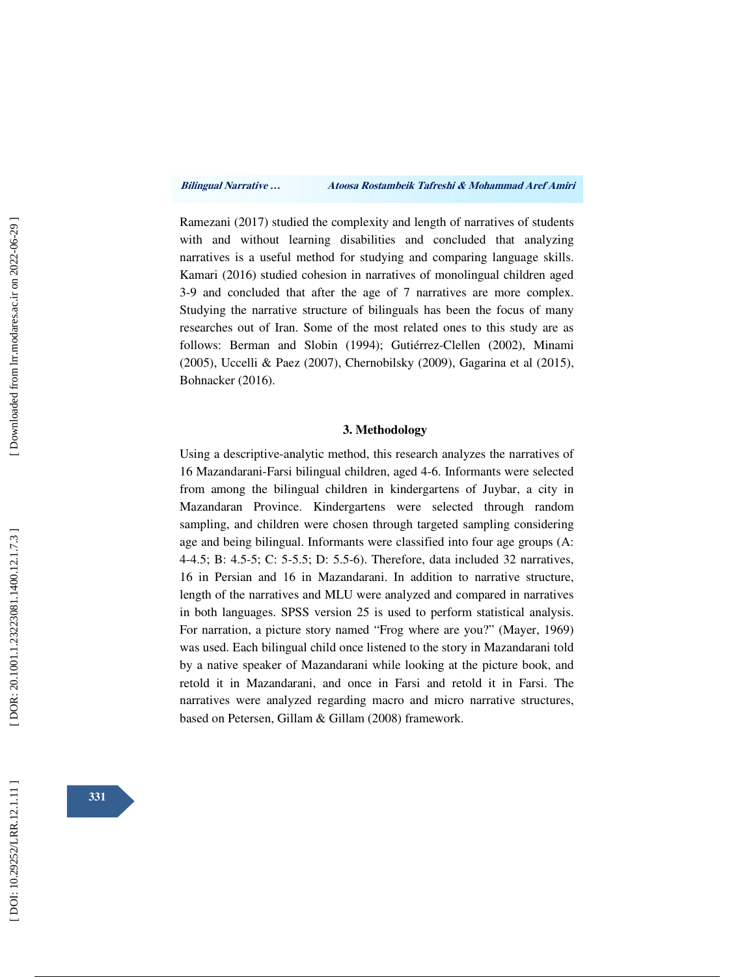Ramezani (2017) studied the complexity and length of narratives of students with and without learning disabilities and concluded that analyzing narratives is a useful method for studying and comparing language skills. Kamari (2016) studied cohesion in narratives of monolingual children aged 3-9 and concluded that after the age of 7 narratives are more complex. Studying the narrative structure of bilinguals has been the focus of many researches out of Iran. Some of the most related ones to this study are as follows: Berman and Slobin (1994); Gutiérrez-Clellen (2002), Minami (2005), Uccelli & Paez (2007), Chernobilsky (2009), Gagarina et al (2015), Bohnacker (2016).

### **3. Methodology**

Using a descriptive-analytic method, this research analyzes the narratives of 16 Mazandarani-Farsi bilingual children, aged 4-6. Informants were selected from among the bilingual children in kindergartens of Juybar, a city in Mazandaran Province. Kindergartens were selected through random sampling, and children were chosen through targeted sampling considering age and being bilingual. Informants were classified into four age groups (A: 4-4.5; B: 4.5-5; C: 5-5.5; D: 5.5-6). Therefore, data included 32 narratives, 16 in Persian and 16 in Mazandarani. In addition to narrative structure, length of the narratives and MLU were analyzed and compared in narratives in both languages. SPSS version 25 is used to perform statistical analysis. For narration, a picture story named "Frog where are you?" (Mayer, 1969) was used. Each bilingual child once listened to the story in Mazandarani told by a native speaker of Mazandarani while looking at the picture book, and retold it in Mazandarani, and once in Farsi and retold it in Farsi. The narratives were analyzed regarding macro and micro narrative structures, based on Petersen, Gillam & Gillam (2008) framework.

**331**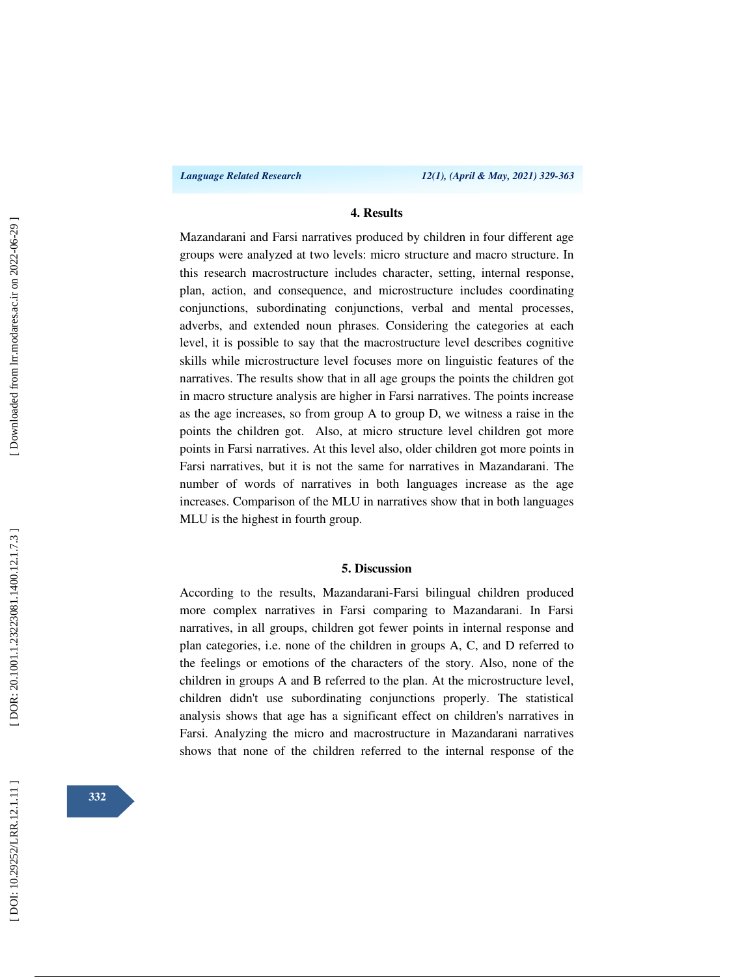### **4. Results**

Mazandarani and Farsi narratives produced by children in four different age groups were analyzed at two levels: micro structure and macro structure. In this research macrostructure includes character, setting, internal response, plan, action, and consequence, and microstructure includes coordinating conjunctions, subordinating conjunctions, verbal and mental processes, adverbs, and extended noun phrases. Considering the categories at each level, it is possible to say that the macrostructure level describes cognitive skills while microstructure level focuses more on linguistic features of the narratives. The results show that in all age groups the points the children got in macro structure analysis are higher in Farsi narratives. The points increase as the age increases, so from group A to group D, we witness a raise in the points the children got. Also, at micro structure level children got more points in Farsi narratives. At this level also, older children got more points in Farsi narratives, but it is not the same for narratives in Mazandarani. The number of words of narratives in both languages increase as the age increases. Comparison of the MLU in narratives show that in both languages MLU is the highest in fourth group.

#### **5. Discussion**

According to the results, Mazandarani-Farsi bilingual children produced more complex narratives in Farsi comparing to Mazandarani. In Farsi narratives, in all groups, children got fewer points in internal response and plan categories, i.e. none of the children in groups A, C, and D referred to the feelings or emotions of the characters of the story. Also, none of the children in groups A and B referred to the plan. At the microstructure level, children didn't use subordinating conjunctions properly. The statistical analysis shows that age has a significant effect on children's narratives in Farsi. Analyzing the micro and macrostructure in Mazandarani narratives shows that none of the children referred to the internal response of the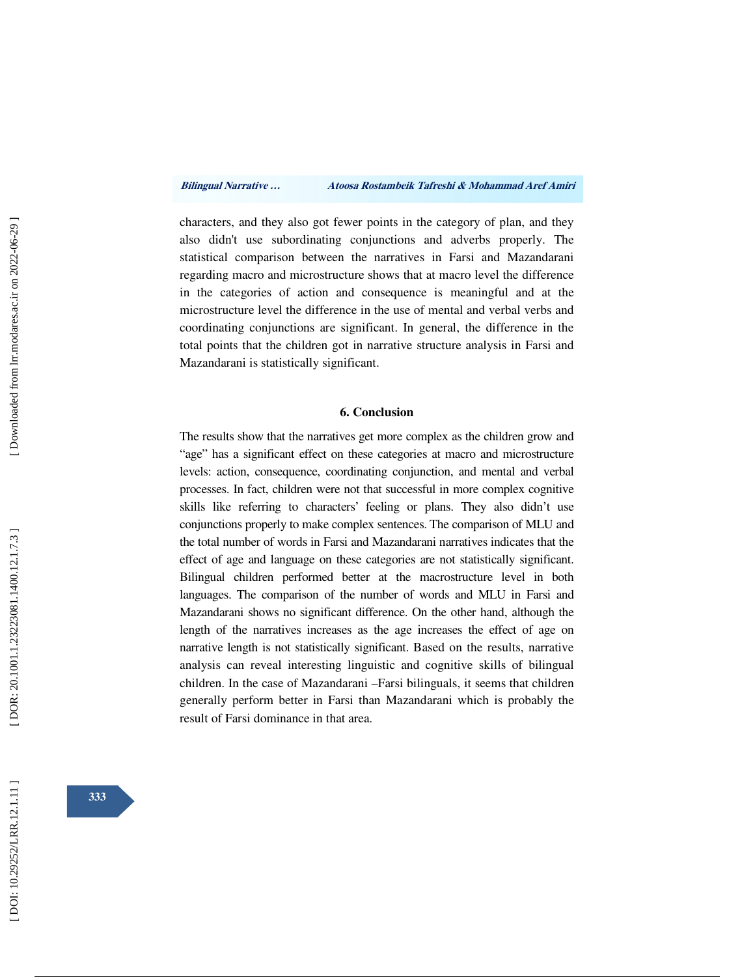characters, and they also got fewer points in the category of plan, and they also didn't use subordinating conjunctions and adverbs properly. The statistical comparison between the narratives in Farsi and Mazandarani regarding macro and microstructure shows that at macro level the difference in the categories of action and consequence is meaningful and at the microstructure level the difference in the use of mental and verbal verbs and coordinating conjunctions are significant. In general, the difference in the total points that the children got in narrative structure analysis in Farsi and Mazandarani is statistically significant.

### **6. Conclusion**

The results show that the narratives get more complex as the children grow and "age" has a significant effect on these categories at macro and microstructure levels: action, consequence, coordinating conjunction, and mental and verbal processes. In fact, children were not that successful in more complex cognitive skills like referring to characters' feeling or plans. They also didn't use conjunctions properly to make complex sentences. The comparison of MLU and the total number of words in Farsi and Mazandarani narratives indicates that the effect of age and language on these categories are not statistically significant. Bilingual children performed better at the macrostructure level in both languages. The comparison of the number of words and MLU in Farsi and Mazandarani shows no significant difference. On the other hand, although the length of the narratives increases as the age increases the effect of age on narrative length is not statistically significant. Based on the results, narrative analysis can reveal interesting linguistic and cognitive skills of bilingual children. In the case of Mazandarani –Farsi bilinguals, it seems that children generally perform better in Farsi than Mazandarani which is probably the result of Farsi dominance in that area.

Downloaded from lrr.modares.ac.ir on 2022-06-29]

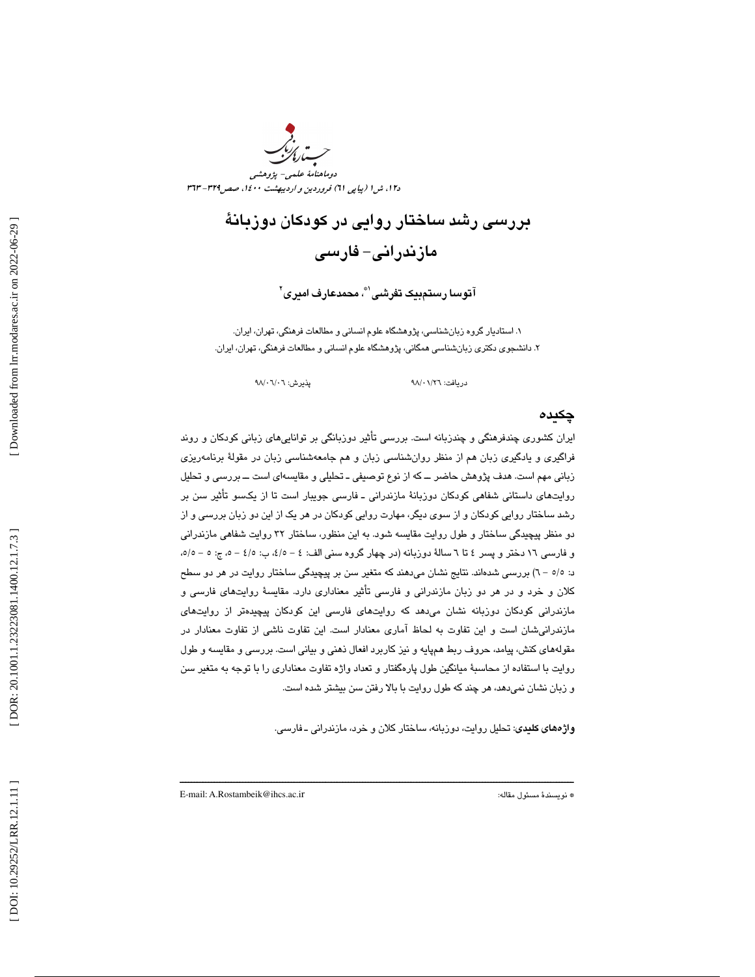دوماهنامة علمي- پژوهشي دi 1، ش 1 (پياپي 11) فروردين و ارديبهشت ۱٤٠٠، صص715 - 37

# بررسي رشد ساختار روايي در كودكان دوزبانة مازندراني - فارسي

آ**تو**سا رس**ت**مبيک تفرشي<sup>®</sup>، محمدعارف اميري<sup>٢</sup>

. 1 استاديار گروه زبانشناسي، پژوهشگاه علوم انساني و مطالعات فرهنگي، تهران، ايران. . 2 دانشجوي دكتري زبانشناسي همگاني، پژوهشگاه علوم انساني و مطالعات فرهنگي، تهران، ايران.

 $\sqrt{0.7}$ پذيرش: ٥٨/٠٦/٠٦

دريافت: 26/ /01

## چكيده

ايران كشوري چندفرهنگي و چندزبانه است. بررسي تأثير دوزبانگي بر تواناييهاي زباني كودكان و روند فراگيري و يادگيري زبان هم از منظر روانشناسي زبان و هم جامعهشناسي زبان در مقولة برنامهريزي زباني مهم است. هدف پژوهش حاضر ــ كه از نوع توصيفي ـ تحليلي و مقايسهاي است ــ بررسي و تحليل روايتهاي داستاني شفاهي كودكان دوزبانة مازندراني ـ فارسي جويبار است تا از يكسو تأثير سن بر رشد ساختار روايي كودكان و از سوي ديگر، مهارت روايي كودكان در هر يك از اين دو زبان بررسي و از دو منظر پيچيدگي ساختار و طول روايت مقايسه شود. به اين منظور، ساختار 32 روايت شفاهي مازندراني و فارسي ١٦ دختر و پسر ٤ تا ٦ سالهٔ دوزبانه (در چهار گروه سني الف: ٤ - ه/٤، ب: ٥/٤ - ٥، ج: ٥ - ٥/٥، ) 6 - 5/5د: بررسي شدهاند. نتايج نشان ميدهند كه متغير سن بر پيچيدگي ساختار روايت در هر دو سطح كلان و خرد و در هر دو زبان مازندراني و فارسي تأثير معناداري دارد. مقايسة روايتهاي فارسي و مازندراني كودكان دوزبانه نشان ميدهد كه روايتهاي فارسي اين كودكان پيچيدهتر از روايتهاي مازندرانيشان است و اين تفاوت به لحاظ آماري معنادار است. اين تفاوت ناشي از تفاوت معنادار در مقولههاي كنش، پيامد، حروف ربط همپايه و نيز كاربرد افعال ذهني و بياني است. بررسي و مقايسه و طول روايت با استفاده از محاسبة ميانگين طول پارهگفتار و تعداد واژه تفاوت معناداري را با توجه به متغير سن و زبان نشان نميدهد، هر چند كه طول روايت با بالا رفتن سن بيشتر شده است.

ــــــــــــــــــــــــــــــــــــــــــــــــــــــــــــــــــــــــــــــــــــــــــــــــــــــــــــــــــــــــــــــــــــــــــ

واژههاي كليدي: تحليل روايت، دوزبانه، ساختار كلان و خرد، مازندراني ـ فارسي.

E-mail: A.Rostambeik@ihcs.ac.i

\* نويسندة مسئول مقاله: r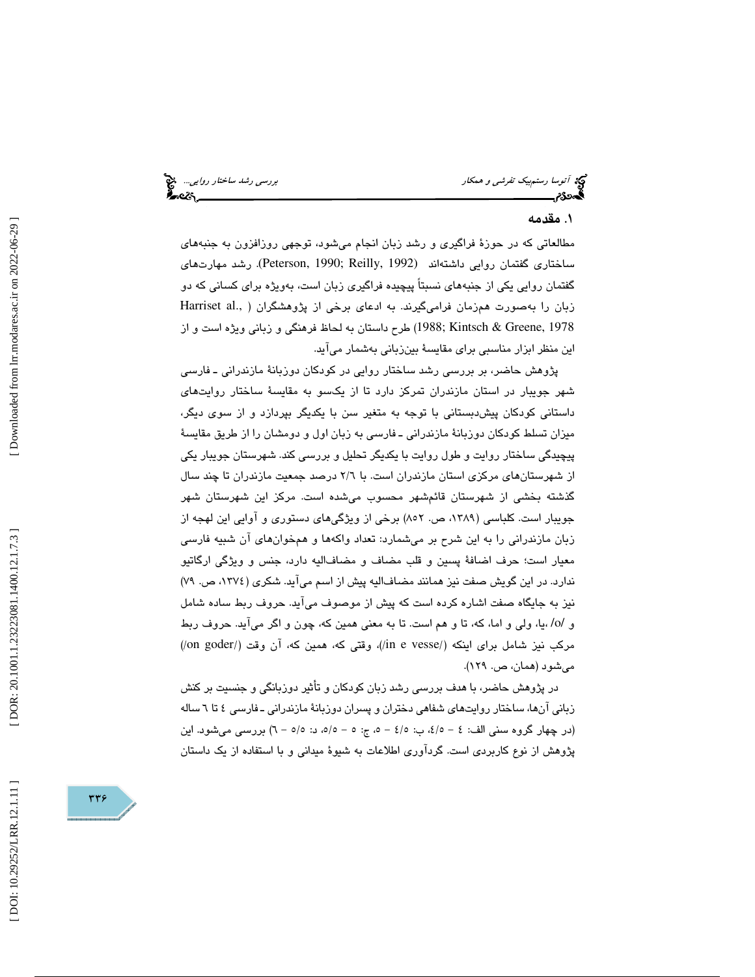توسیح آتوسا رستم بیک تفر*شی و همكار بررسی رشد ساختار روايي...*. چ<mark>خ</mark><br>**آتوسکار بررسی بررسی بررسی به ساختار بررسی رشت ساختار بررسی رشد ساختار روایی... چخص** 

# . مقدمه 1

مطالعاتي كه در حوزة فراگيري و رشد زبان انجام ميشود، توجهي روزافزون به جنبههاي ساختاري گفتمان روايي داشتهاند (1992 ,Peterson, 1990; Reilly). رشد مهارتهاي گفتمان روايي يكي از جنبههاي نسبتاً پيچيده فراگيري زبان است، بهويژه براي كساني كه دو زبان را بهصورت همزمان فرامیگیرند. به ادعای برخی از پژوهشگران ( .Harriset al طرح داستان به لحاظ فرهنگي و زباني ويژه است و از (1988; Kintsch & Greene, 1978 اين منظر ابزار مناسبي براي مقايسة بينزباني بهشمار ميآيد.

پژوهش حاضر، بر بررسي رشد ساختار روايي در كودكان دوزبانة مازندراني ـ فارسي شهر جويبار در استان مازندران تمركز دارد تا از يكسو به مقايسة ساختار روايتهاي داستاني كودكان پيشدبستاني با توجه به متغير سن با يكديگر بپردازد و از سوي ديگر، ميزان تسلط كودكان دوزبانة مازندراني ـ فارسي به زبان اول و دومشان را از طريق مقايسة پيچيدگي ساختار روايت و طول روايت با يكديگر تحليل و بررسي كند. شهرستان جويبار يكي از شهرستانهاي مركزي استان مازندران است. با 6/2 درصد جمعيت مازندران تا چند سال گذشته بخشي از شهرستان قائمشهر محسوب ميشده است. مركز اين شهرستان شهر جويبار است. كلباسي (،1389 ص. 852) برخي از ويژگيهاي دستوري و آوايي اين لهجه از زبان مازندراني را به اين شرح بر ميشمارد: تعداد واكهها و همخوانهاي آن شبيه فارسي معيار است؛ حرف اضافة پسين و قلب مضاف و مضافاليه دارد، جنس و ويژگي ارگاتيو ندارد. در اين گويش صفت نيز همانند مضافاليه پيش از اسم ميآيد. شكري (،1374 ص. ) 79 نيز به جايگاه صفت اشاره كرده است كه پيش از موصوف ميآيد. حروف ربط ساده شامل و /o/ ،يا، ولي و اما، كه، تا و هم است. تا به معني همين كه، چون و اگر ميآيد. حروف ربط مركب نيز شامل براي اينكه (/in e vesse/)، وقتي كه، همين كه، آن وقت (/on goder) ميشود (همان، ص. 129 ).

در پژوهش حاضر، با هدف بررسي رشد زبان كودكان و تأثير دوزبانگي و جنسيت بر كنش زباني آنها، ساختار روايتهاي شفاهي دختران و پسران دوزبانة مازندراني ـ فارسي 6تا 4 ساله (در چهار گروه سني الف: ٤ - ه/٤، ب: ٤/٥ - ٥، ج: ٥ - ٥/٥، د: ٥/٥ - ٦) بررسي ميشود. اين پژوهش از نوع كاربردي است. گردآوري اطلاعات به شيوة ميداني و با استفاده از يك داستان

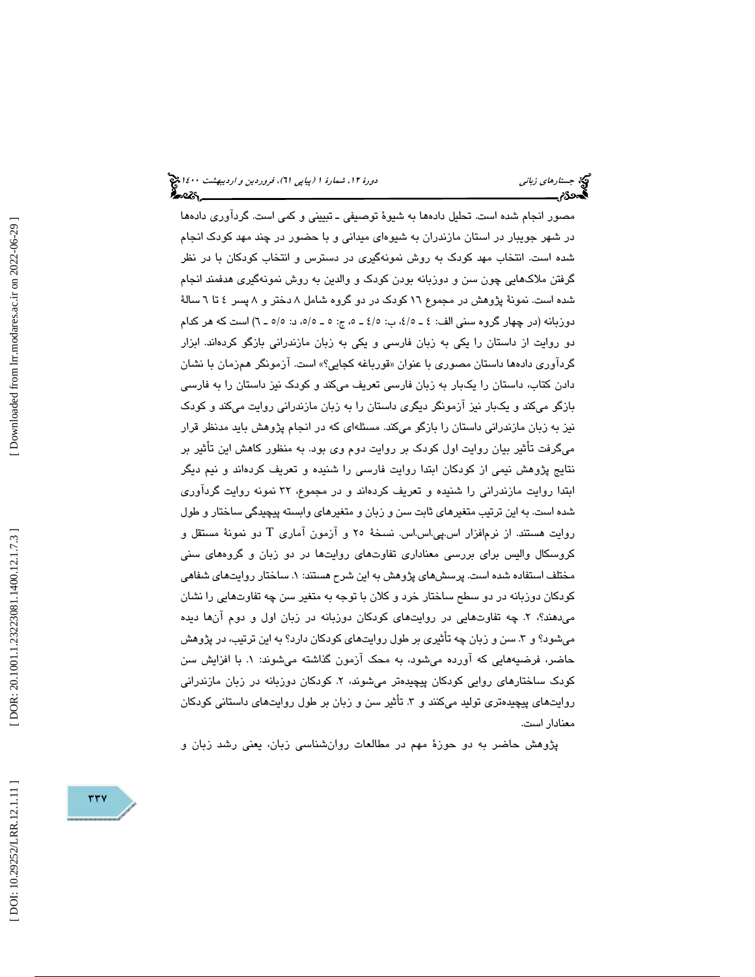مصور انجام شده است. تحليل دادهها به شيوة توصيفي ـ تبييني و كمي است. گردآوري دادهها در شهر جويبار در استان مازندران به شيوهاي ميداني و با حضور در چند مهد كودك انجام شده است. انتخاب مهد كودك به روش نمونهگيري در دسترس و انتخاب كودكان با در نظر گرفتن ملاكهايي چون سن و دوزبانه بودن كودك و والدين به روش نمونهگيري هدفمند انجام شده است. نمونة پژوهش در مجموع 16 كودك در دو گروه شامل 8 دختر و 8 پسر 4 6تا ةسال دوزبانه (در چهار گروه سني الف: 5/4ـ 4 ، ب: 5ـ 5/4 ، ج: 5/5ـ 5 ، د: )6ـ 5/5 است كه هر كدام دو روايت از داستان را ا يكي به زبان فارسي و يكي به زبان مازندراني بازگو كردهند. ابزار گرداوری دادهها داستان مصوری با عنوان «قورباغه کجایی؟» است. ازمونگر همزمان با نشان دادن كتاب، داستان را يكبار به زبان فارسي تعريف ميكند و كودك نيز داستان را به فارسي بازگو ميكند و يكبار نيز آزمونگر ديگري داستان را به زبان مازندراني روايت ميكند و كودك نيز به زبان مازندراني داستان را بازگو ميكند. مسئلهاي كه در انجام پژوهش بايد مدنظر قرار ميگرفت تأثير بيان روايت اول كودك بر روايت دوم وي بود. به منظور كاهش اين تأثير بر نتايج پژوهش نيمي از كودكان ابتدا روايت فارسي را شنيده و تعريف كردهاند و نيم ديگر ابتدا روايت مازندراني را شنيده و تعريف كردهاند و در مجموع، 32 نمونه روايت گردآوري شده است. به اين ترتيب متغيرهاي ثابت سن و زبان و متغيرهاي وابسته پيچيدگي ساختار و طول روايت هستند. از نرم|فزار اس.پي.اس.اس. نسخهٔ ۲۰ و آزمون آماری T دو نمونهٔ مستقل و كروسكال واليس براي بررسي معناداري تفاوتهاي روايتها در دو زبان و گروههاي سني مختلف استفاده شده است. پرسشهای پژوهش به این شرح هستند: ۱. ساختار روایتهای شفاهی كودكان دوزبانه در دو سطح ساختار خرد و كلان با توجه به متغير سن چه تفاوتهايي را نشان مي دهند؟، ٢. چه تفاوتهايي در روايتهاي كودكان دوزبانه در زبان اول و دوم آنها ديده ميشود؟ و ٣. سن و زبان چه تأثيري بر طول روايتهاي كودكان دارد؟ به اين ترتيب، در پژوهش حاضر، فرضیههایی که اورده میشود، به محک ازمون گذاشته میشوند: ۱. با افزایش سن كودك ساختارهاي روايي كودكان پيچيدهتر ميشوند 2 ، . كودكان دوزبانه در زبان مازندراني روايتهاي پيچيدهتري توليد ميكنند و ٣. تأثير سن و زبان بر طول روايتهاي داستاني كودكان معنادار است.

پژوهش حاضر به دو حوزة مهم در مطالعات روانشناسي زبان، يعني رشد زبان و

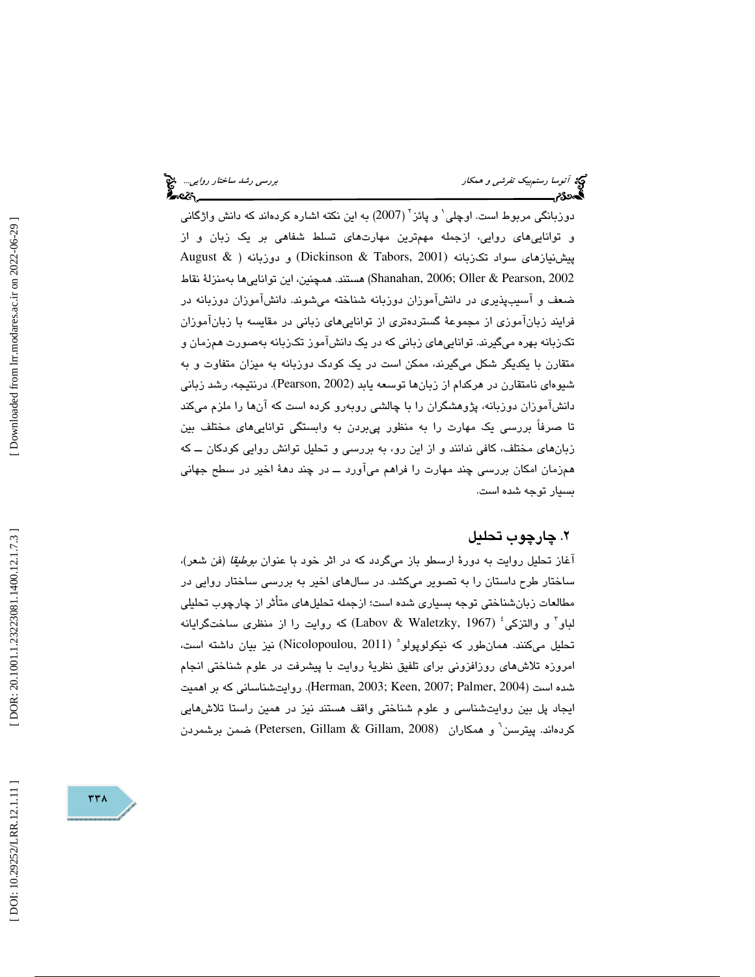دوزبانگی مربوط است. اوچلی $^{\backprime}$  و پائز $^{\backprime}$  (2007) به این نکته اشاره کردهاند که دانش واژگانی و تواناييهاي روايي، ازجمله مهمترين مهارتهاي تسلط شفاهي بر يك زبان و از پيشنيازهاي سواد تكزبانه (2001 ,Tabors & Dickinson (و دوزبانه ( & August 2002 ,Pearson & Oller; 2006 ,Shanahan (هستند. همچنين، اين تواناييها بهمنزلة نقاط ضعف و آسيبپذيري در دانشآموزان دوزبانه شناخته ميشوند. دانشآموزان دوزبانه در فرايند زبانآموزي از مجموعة گستردهتري از تواناييهاي زباني در مقايسه با زبانآموزان تكزبانه بهره ميگيرند. تواناييهاي زباني كه در يك دانشآموز تكزبانه بهصورت همزمان و متقارن با يكديگر شكل مي گيرند، ممكن است در يك كودك دوزبانه به ميزان متفاوت و به شيوهاي نامتقارن در هركدام از زبانها توسعه يابد (2002 ,Pearson(. درنتيجه، رشد زباني دانشآموزان دوزبانه، پژوهشگران را با چالشي روبهرو كرده است كه آنها را ملزم ميكند تا صرفاً بررسي يك مهارت را به منظور پيبردن به وابستگي تواناييهاي مختلف بين زبانهاي مختلف، كافي ندانند و از اين رو، به بررسي و تحليل توانش روايي كودكان ــ كه همزمان امكان بررسي چند مهارت را فراهم ميآورد ــ در چند دهة اخير در سطح جهاني بسيار توجه شده است.

# . چارچوب تحليل 2

آغاز تحليل روايت به دورة ارسطو باز ميگردد كه در اثر خود با عنوان بوطيقا (فن شعر)، ساختار طرح داستان را به تصوير ميكشد. در سالهاي اخير به بررسي ساختار روايي در مطالعات زبانشناختي توجه بسياري شده است؛ از جمله تحليلهاي متأثر از چارچوب تحليلي لباو ً و والتزكي ٔ (Labov & Waletzky, 1967) كه روايت را از منظرى ساختگرايانه تحليل مىكنند. همانطور كه نيكولوپولو° (Nicolopoulou, 2011) نيز بيان داشته است، امروزه تلاشهاي روزافزوني براي تلفيق نظرية روايت با پيشرفت در علوم شناختي انجام . روايتشناساني كه بر اهميت (Herman, 2003; Keen, 2007; Palmer, 2004 ) است شده ايجاد پل بين روايتشناسي و علوم شناختي واقف هستند نيز در همين راستا تلاشهايي كردهاند. پيترسن<sup>٦</sup> و همكاران (Petersen, Gillam & Gillam, 2008) ضمن برشمردن<br>ا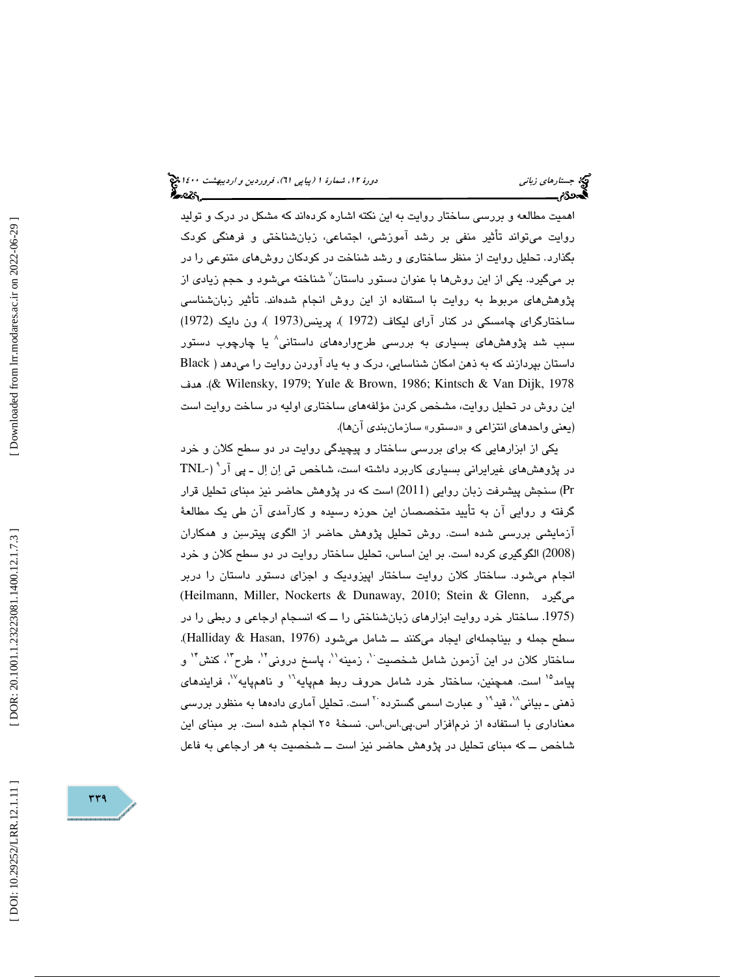اهميت مطالعه و بررسي ساختار روايت به اين نكته اشاره كردهاند كه مشكل در درك و توليد روايت ميتواند تأثير منفي بر رشد آموزشي، اجتماعي، زبانشناختي و فرهنگي كودك تحليل روايت از منظر ساختاري و رشد شناخت در كودكان روشهاي متنوعي را در بگذارد. بر ميگيرد. يكي از اين روشها با عنوان دستور داستان 7 شناخته ميشود و حجم زيادي از پژوهشهاي مربوط به روايت با استفاده از اين روش انجام شدهاند. تأثير زبانشناسي ساختارگراي چامسكي در كنار آراي ليكاف (1972 )، پرينس(1973 )، ون دايك (1972) سبب شد پژوهشهاي بسياري به بررسي طرحوارههاي داستاني 8 يا چارچوب دستور داستان بپردازند كه به ذهن امكان شناسايي، درك و به ياد آوردن روايت را ميدهد ( Black هدف . &)Wilensky, 1979; Yule & Brown, 1986; Kintsch & Van Dijk, 1978 اين روش در تحليل روايت، مشخص كردن مؤلفههاي ساختاري اوليه در ساخت روايت اس ت (يعني واحدهاي انتزاعي و «دستور» سازمانبن*دي* انها).

يكي از ابزارهايي كه براي بررسي ساختار و پيچيدگي روايت در دو سطح كلان و خرد در پژوهشهای غیرایرانی بسیاری کاربرد داشته است، شاخص تی اِن اِل ـ پی آر ٔ (-TNL Pr (سنجش پيشرفت زبان روايي (2011) است كه در پژوهش حاضر نيز مبناي تحليل قرار گرفته و روايي آن به تأييد متخصصان اين حوزه رسيده و كارآمدي آن طي يك مطالعة آزمايشي بررسي شده است. روش تحليل پژوهش حاضر از الگوي پيترسن و همكاران 2008) الگوگيري كرده است. بر اين اساس، تحليل ساختار روايت در دو سطح كلان و خرد ) انجام ميشود. ساختار كلان روايت ساختار اپيزوديك و اجزاي دستور داستان را دربر (Heilmann, Miller, Nockerts & Dunaway, 2010; Stein & Glenn, ميگيرد (.1975 ساختار خرد روايت ابزارهاي زبانشناختي را ــ كه انسجام ارجاعي و ربطي را در سطح جمله و بيناجمله اي ايجاد ميكنند ـــ شامل مي شود (Halliday & Hasan, 1976). ساختار كلان در اين آزمون شامل شخصيت ْ زمينه'`، پاسخ درونى'`، طرح''، كنش'' و پيامد<sup>ه</sup>ا است. همچنين، ساختار خرد شامل حروف ربط همپايه<sup>ا\</sup> و ناهمپايه ّ<sup>\'</sup>، فرايند*های* ذهني ــ بياني^`، قيد`` و عبارت اسمي گسترده <sup>۲۰</sup> است. تحليل آمار*ي* دادهها به منظور بررسي معناداري با استفاده از نرمافزار اس.پي.اس.اس. نسخة 25 انجام شده است. بر مبناي اين شاخص ــ كه مبناى تحليل در پژوهش حاضر نيز است ــ شخصيت به هر ارجاعى به فاعل

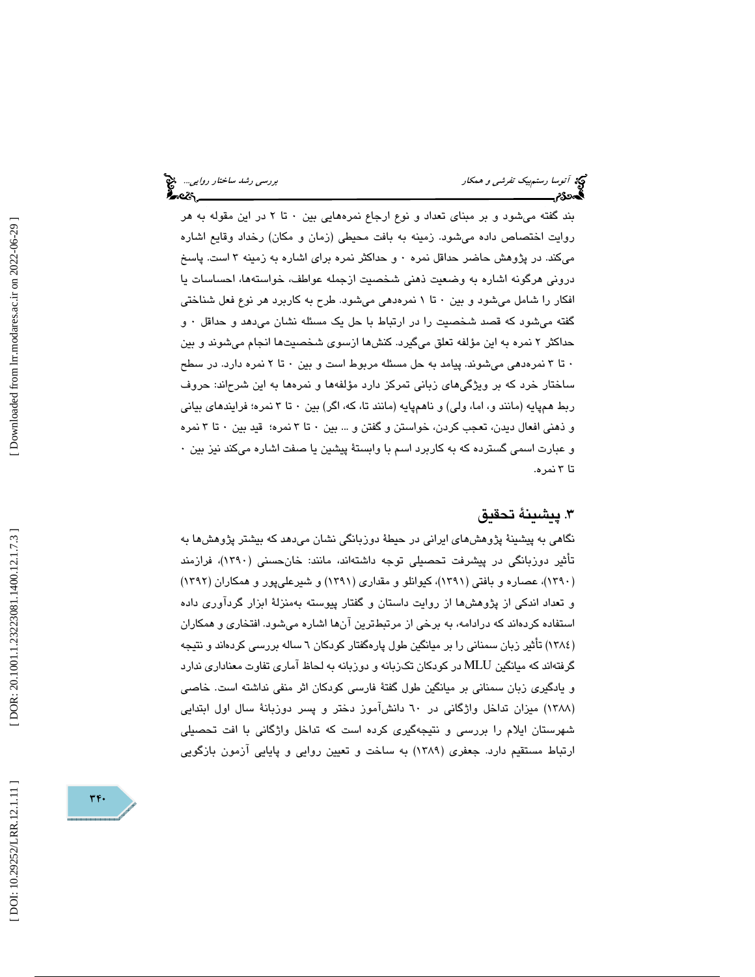بند گفته ميشود و بر مبناي تعداد و نوع ارجاع نمرههايي بين 0 تا 2 در اين مقوله به هر روايت اختصاص داده ميشود. زمينه به بافت محيطي (زمان و مكان) رخداد وقايع اشاره ميكند. در پژوهش حاضر حداقل نمره ۰ و حداكثر نمره براي اشاره به زمينه ۳ است. پاسخ دروني هرگونه اشاره به وضعيت ذهني شخصيت ازجمله عواطف، خواستهها، احساسات يا افكار را شامل مي شود و بين ٠ تا ١ نمرهدهي مي شود. طرح به كاربرد هر نوع فعل شناختي گفته ميشود كه قصد شخصيت را در ارتباط با حل يک مسئله نشان ميدهد و حداقل ٠ و حداكثر 2 نمره به اين مؤلفه تعلق ميگيرد. كنشها ازسوي شخصيتها انجام ميشوند و بين 0 تا 3 نمرهدهي ميشوند. پيامد به حل مسئله مربوط است و بين 0 تا 2 نمره دارد. در سطح ساختار خرد كه بر ويژگيهاي زباني تمركز دارد مؤلفهها و نمرهها به اين شرحاند: حروف ربط همپايه (مانند و، اما، ولي) و ناهمپايه (مانند تا، كه، اگر) بين ٠ تا ٣ نمره؛ فرايندهاي بياني و ذهني افعال ديدن، تعجب كردن، خواستن و گفتن و ... بين 0 تا 3 نمره؛ قيد بين 0 تا 3 نمره و عبارت اسمي گسترده كه به كاربرد اسم با وابستة پيشين يا صفت اشاره ميكند نيز بين 0 3تا نمره.

# . پيشينة تحقيق 3

نگاهی به پیشینهٔ پژوهشهای ایرانی در حیطهٔ دوزبانگی نشان میدهد كه بیشتر پژوهشها به تأثير دوزبانگي در پيشرفت تحصيلي توجه داشتهاند، مانند: خانحسني (1390)، فرازمند (۱۳۹۰)، عصاره و بافتی (۱۳۹۱)، کیوانلو و مقداری (۱۳۹۱) و شیرعلیپور و همکاران (۱۳۹۲) و تعداد اندكي از پژوهشها از روايت داستان و گفتار پيوسته بهمنزلة ابزار گردآوري داده استفاده كردهاند كه درادامه، به برخي از مرتبطترين آنها اشاره ميشود. افتخاري و همكاران (١٣٨٤) تاثير زبان سمنانی را بر ميانگين طول پارهگفتار كودكان ٦ ساله بررسی كردهاند و نتيجه گرفتهاند كه ميانگين MLU در كودكان تكـزبانه و دوزبانه به لحاظ آماري تفاوت معناداري ندارد و يادگيري زبان سمناني بر ميانگين طول گفتۀ فارسي كودكان اثر منفي نداشته است. خاصي (۱۳۸۸) میزان تداخل واژگانی در ٦٠ دانش!موز دختر و پسر دوزبانهٔ سال اول ابتدایی شهرستان ايلام را بررسي و نتيجهگيري كرده است كه تداخل واژگاني با افت تحصيلي ارتباط مستقيم دارد. جعفري (1389) به ساخت و تعيين روايي و پايايي آزمون بازگويي

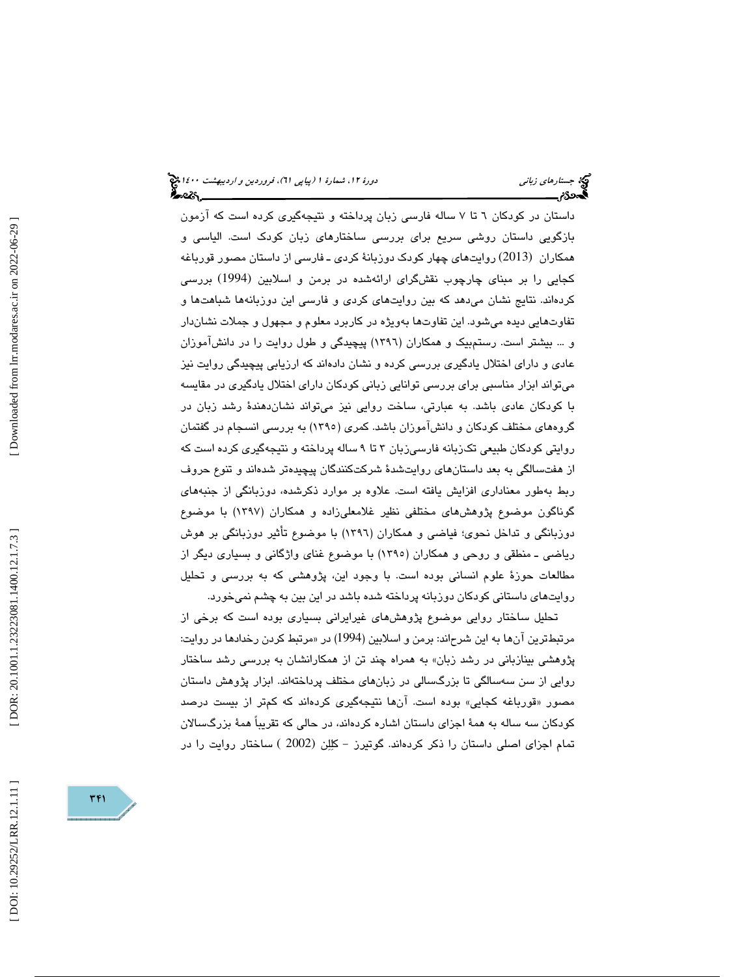داستان در كودكان 6 تا 7 ساله فارسي زبان پرداخته و نتيجهگيري كرده است كه آزمون بازگويي داستان روشي سريع براي بررسي ساختارهاي زبان كودك است. الياسي و همكاران (2013) روايتهاي چهار كودك دوزبانة كردي ـ فارسي از داستان مصور قورباغه كجايي را بر مبناي چارچوب نقشگراي ارائهشده در برمن و اسلابين (1994) بررسي كردهاند. نتايج نشان ميدهد كه بين روايتهاي كردي و فارسي اين دوزبانهها شباهتها و تفاوتهايي ديده ميشود. اين تفاوتها بهويژه در كاربرد معلوم و مجهول و جملات نشاندار و ... بيشتر است. رستمبيك و همكاران (1396) پيچيدگي و طول روايت را در دانشآموزان عادي و داراي اختلال يادگيري بررسي كرده و نشان دادهاند كه ارزيابي پيچيدگي روايت نيز ميتواند ابزار مناسبي براي بررسي توانايي زباني كودكان داراي اختلال يادگيري در مقايسه با كودكان عادي باشد. به عبارتي، ساخت روايي نيز ميتواند نشاندهندة رشد زبان در گروههاي مختلف كودكان و دانشآموزان باشد. كمري (1395) به بررسي انسجام در گفتمان روايتي كودكان طبيعي تكزبانه فارسيزبان ٣ تا ٩ ساله پرداخته و نتيجهگيري كرده است كه از هفتسالگي به بعد داستانهاي روايتشدة شركتكنندگان پيچيدهتر شدهاند و تنوع حروف ربط بهطور معناداري افزايش يافته است. علاوه بر موارد ذكرشده، دوزبانگي از جنبههاي گوناگون موضوع پژوهشهاي مختلفي نظير غلامعليزاده و همكاران (1397) با موضوع دوزبانگي و تداخل نحوي؛ فياضي و همكاران (1396) با موضوع تأثير دوزبانگي بر هوش رياضي ـ منطقي و روحي و همكاران (1395) با موضوع غناي واژگاني و بسياري ديگر از مطالعات حوزة علوم انساني بوده است. با وجود اين، پژوهشي كه به بررسي و تحليل روايتهاي داستاني كودكان دوزبانه پرداخته شده باشد در اين بين به چشم نميخورد.

تحليل ساختار روايي موضوع پژوهشهاي غيرايراني بسياري بوده است كه برخي از مرتبطترين آنها به اين شرحاند: برمن و اسلابين (1994) در «مرتبط كردن رخدادها در روايت: پژوهشي بينازباني در رشد زبان» به همراه چند تن از همكارانشان به بررسي رشد ساختار روايي از سن سهسالگي تا بزرگسالي در زبانهاي مختلف پرداختهاند. ابزار پژوهش داستان قورباغه كجايي» بوده است. آنها نتيجهگيري كردهاند كه كمتر از بيست درصد مصور « كودكان سه ساله به همة اجزاي داستان اشاره كردهاند، در حالي كه تقريباً همة بزرگسالان تمام اجزاي اصلي داستان را ذكر كردهاند. گوتيرز - كللن (2002 ) ساختار روايت را در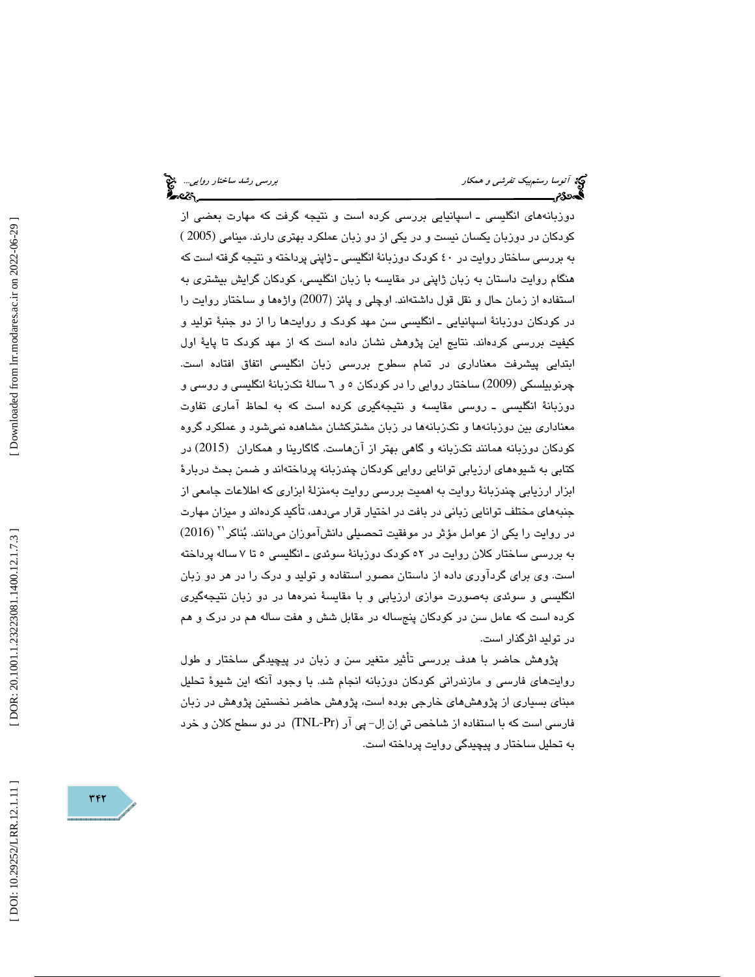دوزبانههاي انگليسي ـ اسپانيايي بررسي كرده است و نتيجه گرفت كه مهارت بعضي از كودكان در دوزبان يكسان نيست و در يكي از دو زبان عملكرد بهتري دارند. مينامي (2005 ) به بررسي ساختار روايت در 40 كودك دوزبانة انگليسي ـ ژاپني پرداخته و نتيجه گرفته است كه هنگام روايت داستان به زبان ژاپني در مقايسه با زبان انگليسي، كودكان گرايش بيشتري به استفاده از زمان حال و نقل قول داشتهاند. اوچلي و پائز (2007) واژه ها و ساختار روايت را در كودكان دوزبانة اسپانيايي ـ انگليسي سن مهد كودك و روايتها را از دو جنبة توليد و كيفيت بررسي كردهاند. نتايج اين پژوهش نشان داده است كه از مهد كودك تا پاية اول ابتدايي پيشرفت معناداري در تمام سطوح بررسي زبان انگليسي اتفاق افتاده است. چرنوبيلسكي (2009) ساختار روايي را در كودكان 6و 5 سالة تكزبانة انگليسي و روسي و دوزبانة انگليسي ـ روسي مقايسه و نتيجهگيري كرده است كه به لحاظ آماري تفاوت معناداري بين دوزبانهها و تكزبانهها در زبان مشتركشان مشاهده نميشود و عملكرد گروه كودكان دوزبانه همانند تكزبانه و گاهي بهتر از آنهاست. گاگارينا و همكاران (2015) در كتابي به شيوههاي ارزيابي توانايي روايي كودكان چندزبانه پرداختهاند و ضمن بحث دربارة ابزار ارزيابي چندزبانة روايت به اهميت بررسي روايت بهمنزلة ابزاري كه اطلاعات جامعي از جنبههاي مختلف توانايي زباني در بافت در اختيار قرار ميدهد، تأكيد كردهاند و ميزان مهارت (2016) <sup>21</sup> در روايت را يكي از عوامل مؤثر در موفقيت تحصيلي دانشآموزان ميدانند. بناكر به بررسي ساختار كلان روايت در 52 كودك دوزبانة سوئدي ـ انگليسي 5 تا 7 ساله پرداخته است. وي براي گردآوري داده از داستان مصور استفاده و توليد و درك را در هر دو زبان انگليسي و سوئدي بهصورت موازي ارزيابي و با مقايسة نمرهها در دو زبان نتيجهگيري كرده است كه عامل سن در كودكان پنجساله در مقابل شش و هفت ساله هم در درك و هم در توليد اثرگذار است.

پژوهش حاضر با هدف بررسي تأثير متغير سن و زبان در پيچيدگي ساختار و طول روايتهاي فارسي و مازندراني كودكان دوزبانه انجام شد. با وجود آنكه اين شيوة تحليل مبناي بسياري از پژوهشهاي خارجي بوده است، پژوهش حاضر نخستين پژوهش در زبان فارسی است که با استفاده از شاخص تی اِن اِل- پی آر (TNL-Pr) در دو سطح کلان و خرد به تحليل ساختار و پيچيدگي روايت پرداخته است.

DOI: 10.29252/LRR.12.1.11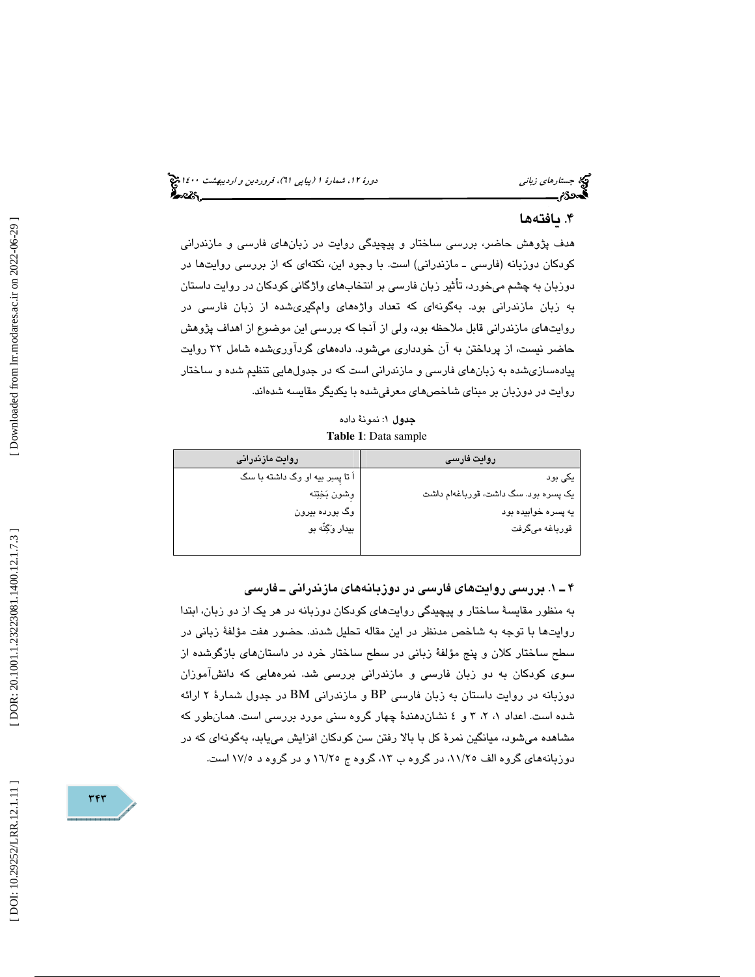# . يافته ها 4

هدف پژوهش حاضر، بررسي ساختار و پيچيدگي روايت در زبانهاي فارسي و مازندراني كودكان دوزبانه (فارسي ـ مازندراني) است. با وجود اين، نكتهاي كه از بررسي روايتها در دوزبان به چشم ميخورد، تأثير زبان فارسي بر انتخاب هاي واژگاني كودكان در روايت داستان به زبان مازندراني بود. بهگونهاي كه تعداد واژههاي وامگيريشده از زبان فارسي در روايتهاي مازندراني قابل ملاحظه بود، ولي از آنجا كه بررسي اين موضوع از اهداف پژوهش حاضر نيست، از پرداختن به آن خودداري ميشود. دادههاي گردآوريشده شامل 32 روايت پيادهسازيشده به زبان هاي فارسي و مازندراني است كه در جدولهايي تنظيم شده و ساختار روايت در دوزبان بر مبناي شاخصهاي معرفيشده با يكديگر مقايسه شدهاند.

جدول 1: نمونة داده **Table 1**: Data sample

| روایت فارسی                          | روايت مازندرانى                 |
|--------------------------------------|---------------------------------|
| یکی بود                              | اً تا پسر بیه او وگ داشته با سگ |
| یک پسره بود. سگ داشت، قورباغهام داشت | وشون بَخِتِنه                   |
| يه پسره خوابيده بود                  | وگ بورده بیرون                  |
| قورباغه مىگرفت                       | بيدار وَكِنّه بو                |
|                                      |                                 |

1ـ 4 . بررسي روايتهاي فارسي در دوزبانههاي مازندراني ـ فارسي

به منظور مقايسة ساختار و پيچيدگي روايتهاي كودكان دوزبانه در هر يك از دو زبان، ابتدا روايتها با توجه به شاخص مدنظر در اين مقاله تحليل شدند. حضور هفت مؤلفة زباني در سطح ساختار كلان و پنج مؤلفهٔ زبانی در سطح ساختار خرد در داستانهای بازگوشده از سوي كودكان به دو زبان فارسي و مازندراني بررسي شد. نمرههايي كه دانشآموزان دوزبانه در روايت داستان به زبان فارسي BP و مازندراني BM در جدول شمارة 2 ارائه شده است. اعداد ،3 ،2 1 4و نشاندهندة چهار گروه سني مورد بررسي است. همانطور كه مشاهده ميشود، ميانگين نمرة كل با بالا رفتن سن كودكان افزايش مييابد، بهگونهاي كه در دوزبانههاي گروه الف ١١/٢٥، در گروه ب ١٣، گروه ج ١٦/٢٥ و در گروه د ١٧/٥ است.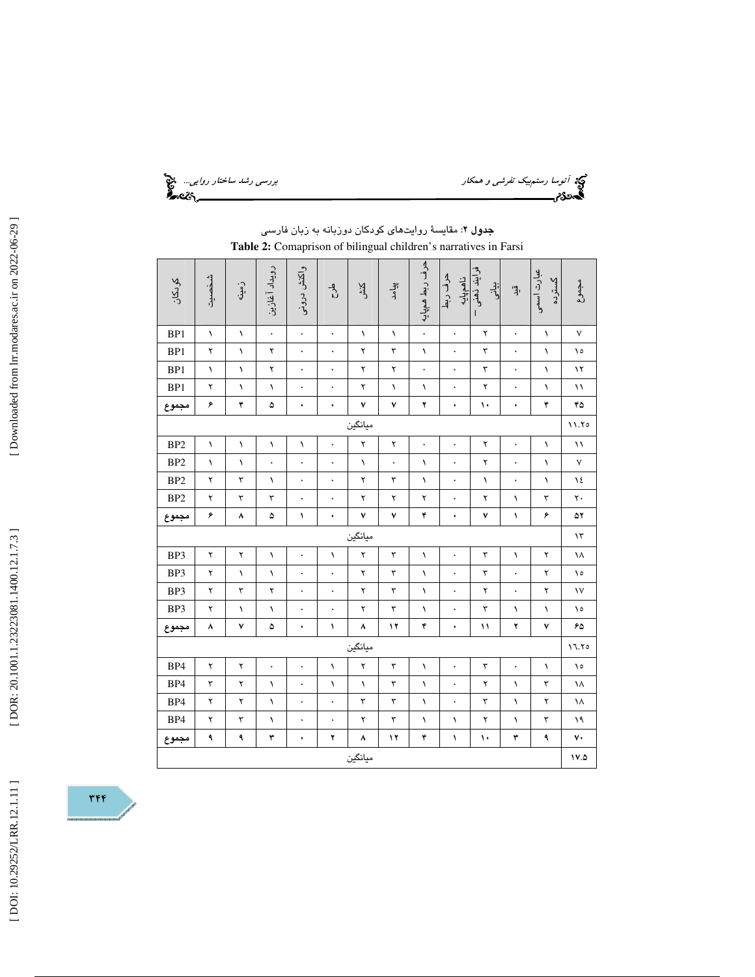توسا رستم*بيك تفرشي و همكار بررسي رشد ساختار روايي...*. في المجال بررسي رش*د ساختار روايي...*<br>**آتوسكار بررسي بررسي بررسي بررسي بررسي بررسي بررسي بررسي بررسي بررسي بررسي بررسي بررسي بررسي بررسي بررسي بررسي.**<br>**آتوسكار بررسي** 

|       | حرف ربط همڀايه<br>واكتش دروني<br>رويداد آغازين<br>فرايند ذهنى<br>عبارت اسمی<br>حرف ربط<br>شخصيت<br>ناهم پایه<br>گسترىە<br>كودكان<br>مجموع<br>زمينه<br>اني<br>ول<br>بنی<br>اڳ<br>کنڈ<br>ک<br>$\frac{4}{5}$<br>q.<br>$\mathbf{I}$<br>$\ddot{\phantom{0}}$<br>۲<br>BP1<br>$\lambda$<br>$\lambda$<br>$\ddot{\phantom{0}}$<br>$\ddot{\phantom{0}}$<br>$\sqrt{2}$<br>$\lambda$<br>$\lambda$<br>٧<br>$\ddot{\phantom{0}}$<br>$\ddot{\phantom{0}}$<br>BP1<br>٣<br>۲<br>۲<br>۲<br>٣<br>ه ۱<br>$\lambda$<br>$\ddot{\phantom{0}}$<br>$\ddot{\phantom{0}}$<br>$\lambda$<br>$\ddot{\phantom{0}}$<br>$\ddot{\phantom{0}}$<br>١<br>BP1<br>۲<br>۲<br>۲<br>٣<br>$\lambda$<br>۱۲<br>١<br>١<br>$\ddot{\phantom{0}}$<br>$\ddot{\phantom{0}}$<br>$\bullet$<br>BP1<br>۲<br>۲<br>۲<br>$\ddot{\phantom{0}}$<br>$\ddot{\phantom{0}}$<br>$\lambda$<br>$\lambda$<br>$\ddot{\phantom{0}}$<br>$\ddot{\phantom{0}}$<br>$\lambda$<br>١<br>۱۱<br>١<br>۶<br>۴<br>٧<br>۴<br>۴۵<br>۵<br>٧<br>۲<br>١.<br>٠<br>۰<br>۰<br>$\bullet$<br>ميانگين<br>11.70<br>۲<br>BP <sub>2</sub><br>۲<br>۲<br>$\lambda$<br>$\sqrt{2}$<br>۱١<br>$\lambda$<br>١<br>١<br>$\bullet$<br>$\bullet$<br>$\ddot{\phantom{0}}$<br>$\bullet$<br>BP <sub>2</sub><br>۲<br>$\sf V$<br>$\lambda$<br>$\sqrt{}$<br>$\lambda$<br>$\ddot{\phantom{0}}$<br>$\lambda$<br>$\ddot{\phantom{0}}$<br>١<br>$\ddot{\phantom{0}}$<br>$\ddot{\phantom{0}}$<br>$\ddot{\phantom{0}}$<br>BP <sub>2</sub><br>۲<br>۲<br>٣<br>٣<br>١٤<br>$\lambda$<br>$\lambda$<br>$\ddot{\phantom{0}}$<br>$\lambda$<br>$\sqrt{}$<br>$\ddot{\phantom{0}}$<br>$\ddot{\phantom{0}}$<br>$\ddot{\phantom{0}}$<br>BP <sub>2</sub><br>٣<br>٢.<br>۲<br>٣<br>٣<br>۲<br>۲<br>۲<br>۲<br>$\lambda$<br>$\ddot{\phantom{1}}$<br>$\bullet$<br>۶<br>۴<br>٧<br>٧<br>٧<br>۶<br>۵۲<br>٨<br>۵<br>١<br>$\lambda$<br>۰<br>٠<br>ميانگين<br>۱۳<br>۲<br>BP3<br>۲<br>۲<br>$\mathbf{\breve{v}}$<br>٣<br>۲<br>١٨<br>$\lambda$<br>$\ddot{\phantom{0}}$<br>$\bullet$<br>$\lambda$<br>١<br>١<br>BP3<br>۲<br>$\ddot{\phantom{0}}$<br>۲<br>$\ddot{\phantom{0}}$<br>٣<br>۲<br>$\lambda$<br>$\lambda$<br>$\ddot{\phantom{0}}$<br>٣<br>$\lambda$<br>$\ddot{\phantom{0}}$<br>ه ۱<br>BP3<br>۲<br>۲<br>۲<br>٣<br>۲<br>٣<br>۲<br>$\mathsf{v}$<br>١<br>$\bullet$<br>$\bullet$<br>$\bullet$<br>$\bullet$<br>٣<br>۲<br>۲<br>٣<br>BP3<br>$\lambda$<br>$\lambda$<br>١٥<br>١<br>$\ddot{\phantom{1}}$<br>١<br>١<br>$\bullet$<br>٧<br>١٢<br>۴<br>۲<br>٧<br>۶۵<br>۸<br>۵<br>١<br>۸<br>۱۱<br>۰<br>۰<br>ميانگين<br>17.70<br>BP4<br>۲<br>۲<br>۲<br>٣<br>٣<br>١٥<br>$\ddot{\phantom{0}}$<br>$\ddot{\phantom{0}}$<br>$\lambda$<br>١<br>$\ddot{\phantom{1}}$<br>$\ddot{\phantom{0}}$<br>١<br>BP4<br>٣<br>۲<br>$\sqrt{2}$<br>$\mathbf{\breve{r}}$<br>$\sqrt{2}$<br>١<br>٣<br>$\lambda$<br>۲<br>$\sqrt{2}$<br>١٨<br>$\ddot{\phantom{0}}$<br>$\bullet$ |   |           |           |                      |         |    |   |                      |    |           |   |                   |
|-------|-------------------------------------------------------------------------------------------------------------------------------------------------------------------------------------------------------------------------------------------------------------------------------------------------------------------------------------------------------------------------------------------------------------------------------------------------------------------------------------------------------------------------------------------------------------------------------------------------------------------------------------------------------------------------------------------------------------------------------------------------------------------------------------------------------------------------------------------------------------------------------------------------------------------------------------------------------------------------------------------------------------------------------------------------------------------------------------------------------------------------------------------------------------------------------------------------------------------------------------------------------------------------------------------------------------------------------------------------------------------------------------------------------------------------------------------------------------------------------------------------------------------------------------------------------------------------------------------------------------------------------------------------------------------------------------------------------------------------------------------------------------------------------------------------------------------------------------------------------------------------------------------------------------------------------------------------------------------------------------------------------------------------------------------------------------------------------------------------------------------------------------------------------------------------------------------------------------------------------------------------------------------------------------------------------------------------------------------------------------------------------------------------------------------------------------------------------------------------------------------------------------------------------------------------------------------------------------------------------------------------------------------------------------------------------------------------------------------------------------------------------------------------------------|---|-----------|-----------|----------------------|---------|----|---|----------------------|----|-----------|---|-------------------|
|       |                                                                                                                                                                                                                                                                                                                                                                                                                                                                                                                                                                                                                                                                                                                                                                                                                                                                                                                                                                                                                                                                                                                                                                                                                                                                                                                                                                                                                                                                                                                                                                                                                                                                                                                                                                                                                                                                                                                                                                                                                                                                                                                                                                                                                                                                                                                                                                                                                                                                                                                                                                                                                                                                                                                                                                                     |   |           |           |                      |         |    |   |                      |    |           |   |                   |
|       |                                                                                                                                                                                                                                                                                                                                                                                                                                                                                                                                                                                                                                                                                                                                                                                                                                                                                                                                                                                                                                                                                                                                                                                                                                                                                                                                                                                                                                                                                                                                                                                                                                                                                                                                                                                                                                                                                                                                                                                                                                                                                                                                                                                                                                                                                                                                                                                                                                                                                                                                                                                                                                                                                                                                                                                     |   |           |           |                      |         |    |   |                      |    |           |   |                   |
|       |                                                                                                                                                                                                                                                                                                                                                                                                                                                                                                                                                                                                                                                                                                                                                                                                                                                                                                                                                                                                                                                                                                                                                                                                                                                                                                                                                                                                                                                                                                                                                                                                                                                                                                                                                                                                                                                                                                                                                                                                                                                                                                                                                                                                                                                                                                                                                                                                                                                                                                                                                                                                                                                                                                                                                                                     |   |           |           |                      |         |    |   |                      |    |           |   |                   |
|       |                                                                                                                                                                                                                                                                                                                                                                                                                                                                                                                                                                                                                                                                                                                                                                                                                                                                                                                                                                                                                                                                                                                                                                                                                                                                                                                                                                                                                                                                                                                                                                                                                                                                                                                                                                                                                                                                                                                                                                                                                                                                                                                                                                                                                                                                                                                                                                                                                                                                                                                                                                                                                                                                                                                                                                                     |   |           |           |                      |         |    |   |                      |    |           |   |                   |
|       |                                                                                                                                                                                                                                                                                                                                                                                                                                                                                                                                                                                                                                                                                                                                                                                                                                                                                                                                                                                                                                                                                                                                                                                                                                                                                                                                                                                                                                                                                                                                                                                                                                                                                                                                                                                                                                                                                                                                                                                                                                                                                                                                                                                                                                                                                                                                                                                                                                                                                                                                                                                                                                                                                                                                                                                     |   |           |           |                      |         |    |   |                      |    |           |   |                   |
| مجموع |                                                                                                                                                                                                                                                                                                                                                                                                                                                                                                                                                                                                                                                                                                                                                                                                                                                                                                                                                                                                                                                                                                                                                                                                                                                                                                                                                                                                                                                                                                                                                                                                                                                                                                                                                                                                                                                                                                                                                                                                                                                                                                                                                                                                                                                                                                                                                                                                                                                                                                                                                                                                                                                                                                                                                                                     |   |           |           |                      |         |    |   |                      |    |           |   |                   |
|       |                                                                                                                                                                                                                                                                                                                                                                                                                                                                                                                                                                                                                                                                                                                                                                                                                                                                                                                                                                                                                                                                                                                                                                                                                                                                                                                                                                                                                                                                                                                                                                                                                                                                                                                                                                                                                                                                                                                                                                                                                                                                                                                                                                                                                                                                                                                                                                                                                                                                                                                                                                                                                                                                                                                                                                                     |   |           |           |                      |         |    |   |                      |    |           |   |                   |
|       |                                                                                                                                                                                                                                                                                                                                                                                                                                                                                                                                                                                                                                                                                                                                                                                                                                                                                                                                                                                                                                                                                                                                                                                                                                                                                                                                                                                                                                                                                                                                                                                                                                                                                                                                                                                                                                                                                                                                                                                                                                                                                                                                                                                                                                                                                                                                                                                                                                                                                                                                                                                                                                                                                                                                                                                     |   |           |           |                      |         |    |   |                      |    |           |   |                   |
|       |                                                                                                                                                                                                                                                                                                                                                                                                                                                                                                                                                                                                                                                                                                                                                                                                                                                                                                                                                                                                                                                                                                                                                                                                                                                                                                                                                                                                                                                                                                                                                                                                                                                                                                                                                                                                                                                                                                                                                                                                                                                                                                                                                                                                                                                                                                                                                                                                                                                                                                                                                                                                                                                                                                                                                                                     |   |           |           |                      |         |    |   |                      |    |           |   |                   |
|       |                                                                                                                                                                                                                                                                                                                                                                                                                                                                                                                                                                                                                                                                                                                                                                                                                                                                                                                                                                                                                                                                                                                                                                                                                                                                                                                                                                                                                                                                                                                                                                                                                                                                                                                                                                                                                                                                                                                                                                                                                                                                                                                                                                                                                                                                                                                                                                                                                                                                                                                                                                                                                                                                                                                                                                                     |   |           |           |                      |         |    |   |                      |    |           |   |                   |
|       |                                                                                                                                                                                                                                                                                                                                                                                                                                                                                                                                                                                                                                                                                                                                                                                                                                                                                                                                                                                                                                                                                                                                                                                                                                                                                                                                                                                                                                                                                                                                                                                                                                                                                                                                                                                                                                                                                                                                                                                                                                                                                                                                                                                                                                                                                                                                                                                                                                                                                                                                                                                                                                                                                                                                                                                     |   |           |           |                      |         |    |   |                      |    |           |   |                   |
| مجموع |                                                                                                                                                                                                                                                                                                                                                                                                                                                                                                                                                                                                                                                                                                                                                                                                                                                                                                                                                                                                                                                                                                                                                                                                                                                                                                                                                                                                                                                                                                                                                                                                                                                                                                                                                                                                                                                                                                                                                                                                                                                                                                                                                                                                                                                                                                                                                                                                                                                                                                                                                                                                                                                                                                                                                                                     |   |           |           |                      |         |    |   |                      |    |           |   |                   |
|       |                                                                                                                                                                                                                                                                                                                                                                                                                                                                                                                                                                                                                                                                                                                                                                                                                                                                                                                                                                                                                                                                                                                                                                                                                                                                                                                                                                                                                                                                                                                                                                                                                                                                                                                                                                                                                                                                                                                                                                                                                                                                                                                                                                                                                                                                                                                                                                                                                                                                                                                                                                                                                                                                                                                                                                                     |   |           |           |                      |         |    |   |                      |    |           |   |                   |
|       |                                                                                                                                                                                                                                                                                                                                                                                                                                                                                                                                                                                                                                                                                                                                                                                                                                                                                                                                                                                                                                                                                                                                                                                                                                                                                                                                                                                                                                                                                                                                                                                                                                                                                                                                                                                                                                                                                                                                                                                                                                                                                                                                                                                                                                                                                                                                                                                                                                                                                                                                                                                                                                                                                                                                                                                     |   |           |           |                      |         |    |   |                      |    |           |   |                   |
|       |                                                                                                                                                                                                                                                                                                                                                                                                                                                                                                                                                                                                                                                                                                                                                                                                                                                                                                                                                                                                                                                                                                                                                                                                                                                                                                                                                                                                                                                                                                                                                                                                                                                                                                                                                                                                                                                                                                                                                                                                                                                                                                                                                                                                                                                                                                                                                                                                                                                                                                                                                                                                                                                                                                                                                                                     |   |           |           |                      |         |    |   |                      |    |           |   |                   |
|       |                                                                                                                                                                                                                                                                                                                                                                                                                                                                                                                                                                                                                                                                                                                                                                                                                                                                                                                                                                                                                                                                                                                                                                                                                                                                                                                                                                                                                                                                                                                                                                                                                                                                                                                                                                                                                                                                                                                                                                                                                                                                                                                                                                                                                                                                                                                                                                                                                                                                                                                                                                                                                                                                                                                                                                                     |   |           |           |                      |         |    |   |                      |    |           |   |                   |
|       |                                                                                                                                                                                                                                                                                                                                                                                                                                                                                                                                                                                                                                                                                                                                                                                                                                                                                                                                                                                                                                                                                                                                                                                                                                                                                                                                                                                                                                                                                                                                                                                                                                                                                                                                                                                                                                                                                                                                                                                                                                                                                                                                                                                                                                                                                                                                                                                                                                                                                                                                                                                                                                                                                                                                                                                     |   |           |           |                      |         |    |   |                      |    |           |   |                   |
| مجموع |                                                                                                                                                                                                                                                                                                                                                                                                                                                                                                                                                                                                                                                                                                                                                                                                                                                                                                                                                                                                                                                                                                                                                                                                                                                                                                                                                                                                                                                                                                                                                                                                                                                                                                                                                                                                                                                                                                                                                                                                                                                                                                                                                                                                                                                                                                                                                                                                                                                                                                                                                                                                                                                                                                                                                                                     |   |           |           |                      |         |    |   |                      |    |           |   |                   |
|       |                                                                                                                                                                                                                                                                                                                                                                                                                                                                                                                                                                                                                                                                                                                                                                                                                                                                                                                                                                                                                                                                                                                                                                                                                                                                                                                                                                                                                                                                                                                                                                                                                                                                                                                                                                                                                                                                                                                                                                                                                                                                                                                                                                                                                                                                                                                                                                                                                                                                                                                                                                                                                                                                                                                                                                                     |   |           |           |                      |         |    |   |                      |    |           |   |                   |
|       |                                                                                                                                                                                                                                                                                                                                                                                                                                                                                                                                                                                                                                                                                                                                                                                                                                                                                                                                                                                                                                                                                                                                                                                                                                                                                                                                                                                                                                                                                                                                                                                                                                                                                                                                                                                                                                                                                                                                                                                                                                                                                                                                                                                                                                                                                                                                                                                                                                                                                                                                                                                                                                                                                                                                                                                     |   |           |           |                      |         |    |   |                      |    |           |   |                   |
|       |                                                                                                                                                                                                                                                                                                                                                                                                                                                                                                                                                                                                                                                                                                                                                                                                                                                                                                                                                                                                                                                                                                                                                                                                                                                                                                                                                                                                                                                                                                                                                                                                                                                                                                                                                                                                                                                                                                                                                                                                                                                                                                                                                                                                                                                                                                                                                                                                                                                                                                                                                                                                                                                                                                                                                                                     |   |           |           |                      |         |    |   |                      |    |           |   |                   |
| BP4   | ۲                                                                                                                                                                                                                                                                                                                                                                                                                                                                                                                                                                                                                                                                                                                                                                                                                                                                                                                                                                                                                                                                                                                                                                                                                                                                                                                                                                                                                                                                                                                                                                                                                                                                                                                                                                                                                                                                                                                                                                                                                                                                                                                                                                                                                                                                                                                                                                                                                                                                                                                                                                                                                                                                                                                                                                                   | ۲ | $\lambda$ | $\bullet$ | $\ddot{\phantom{0}}$ | ٣       | ٣  | ١ | $\ddot{\phantom{0}}$ | ٣  | $\lambda$ | ۲ | ١٨                |
| BP4   | ۲                                                                                                                                                                                                                                                                                                                                                                                                                                                                                                                                                                                                                                                                                                                                                                                                                                                                                                                                                                                                                                                                                                                                                                                                                                                                                                                                                                                                                                                                                                                                                                                                                                                                                                                                                                                                                                                                                                                                                                                                                                                                                                                                                                                                                                                                                                                                                                                                                                                                                                                                                                                                                                                                                                                                                                                   | ٣ | ١         | $\bullet$ |                      | ۲       | ٣  | ١ | ١                    | ۲  | ١         | ٣ | ۱۹                |
| مجموع | ٩                                                                                                                                                                                                                                                                                                                                                                                                                                                                                                                                                                                                                                                                                                                                                                                                                                                                                                                                                                                                                                                                                                                                                                                                                                                                                                                                                                                                                                                                                                                                                                                                                                                                                                                                                                                                                                                                                                                                                                                                                                                                                                                                                                                                                                                                                                                                                                                                                                                                                                                                                                                                                                                                                                                                                                                   | ٩ | ٣         | ۰         | ۲                    | ٨       | ١٢ | ۴ | ١                    | ١٠ | ٣         | ٩ | $\mathsf{v}\cdot$ |
|       |                                                                                                                                                                                                                                                                                                                                                                                                                                                                                                                                                                                                                                                                                                                                                                                                                                                                                                                                                                                                                                                                                                                                                                                                                                                                                                                                                                                                                                                                                                                                                                                                                                                                                                                                                                                                                                                                                                                                                                                                                                                                                                                                                                                                                                                                                                                                                                                                                                                                                                                                                                                                                                                                                                                                                                                     |   |           |           |                      | ميانگين |    |   |                      |    |           |   | $V.\Delta$        |

جدول 2: مقايسة روايتهاي كودكان دوزبانه به زبان فارسي **Table 2:** Comaprison of bilingual children's narratives in Farsi



L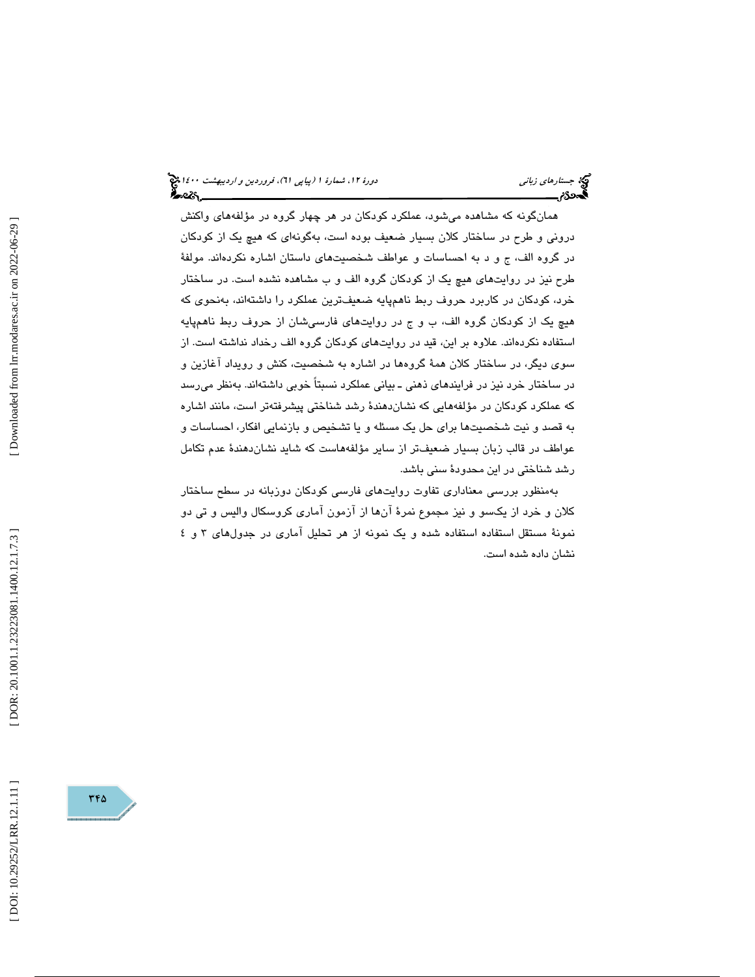(پياپي 61)، فروردين و ارديبهشت 1400 جستارهاي زباني دورة ،12 شمارة 1

همانگونه كه مشاهده میشود، عملكرد كودكان در هر چهار گروه در مؤلفههای واكنش درونی و طرح در ساختار كلان بسيار ضعيف بوده است، بهگونهای كه هيچ يک از كودكان ر گروه الف، ج و د به احساسات و عواطف شخصيتهاي داستان اشاره نكردهاند. مولفة د طرح نيز در روايتهاي هيچ يك از كودكان گروه الف و ب مشاهده نشده است. در ساختار خرد، كودكان در كاربرد حروف ربط ناهمپايه ضعيفترين عملكرد را داشتهاند، بهنحوي كه هيچ يک از کودکان گروه الف، ب و ج در روايتهای فارسیشان از حروف ربط ناهمپايه استفاده نكردهاند. علاوه بر اين، قيد در روايتهاي كودكان گروه الف رخداد نداشته است. از سوي ديگر، در ساختار كلان همة گروهها در اشاره به شخصيت ، كنش و رويداد آغازين و در ساختار خرد نيز در فرايندهاي ذهني ـ بياني عملكرد نسبتاً خوبي داشتهاند. بهنظر ميرسد كه عملكرد كودكان در مؤلفههايي كه نشاندهندة رشد شناختي پيشرفتهتر است، مانند اشاره به قصد و نيت شخصيتها براي حل يك مسئله و يا تشخيص و بازنمايي افكار، احساسات و عواطف در قالب زبان بسيار ضعيف تر از ساير مؤلفههاست كه شايد نشان دهندهٔ عدم تكامل رشد شناختي در اين محدودة سني باشد.

بهمنظور بررسي معناداري تفاوت روايتهاي فارسي كودكان دوزبانه در سطح ساختار كلان و خرد از يكسو و نيز مجموع نمرة آنها از آزمون آماري كروسكال واليس و تي دو نمونة مستقل استفاده استفاده شده و يك نمونه از هر تحليل آماري در جدولهاي 3 4و نشان داده شده است.

345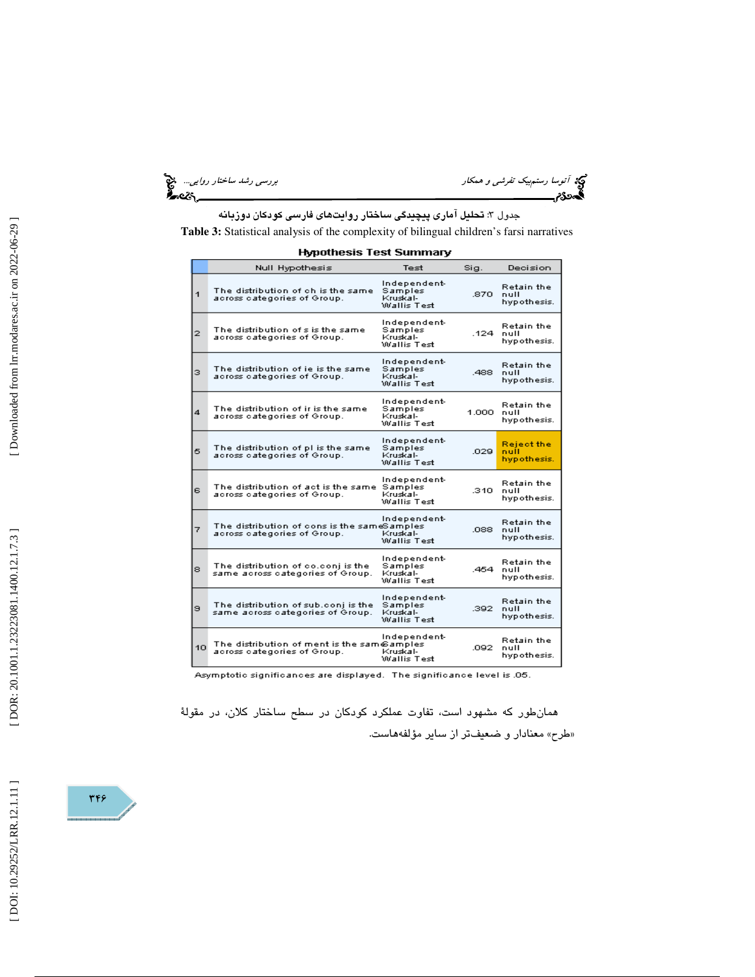توسط رستمبيك تفرش*ي و همكار بررسي رشد ساختار روايي...*. د<mark>ين</mark><br>المحمدى<br>المحمدى بررسي بررسي بررسي بررسي بررسي بررسي بررسي رشد ساختار بررسي بررسي بررسي بررسي بررسي بررسي بررسي بررسي

جدول 3: تحليل آماري پيچيدگي ساختار روايتهاي فارسي كودكان دوزبانه **Table 3:** Statistical analysis of the complexity of bilingual children's farsi narratives

| <b>Hypothesis Test Summary</b> |  |  |  |  |  |  |
|--------------------------------|--|--|--|--|--|--|
|--------------------------------|--|--|--|--|--|--|

|                | Null Hypothesis                                                             | Test                                               | Sig.    | Decision                                 |
|----------------|-----------------------------------------------------------------------------|----------------------------------------------------|---------|------------------------------------------|
| $\mathbf{1}$   | The distribution of ch is the same<br>across categories of Group.           | Independent-<br>Samples<br>Kruskal-<br>Wallis Test | .870    | <b>Retain the</b><br>null<br>hypothesis. |
| $\overline{2}$ | The distribution of s is the same<br>across categories of Group.            | Independent-<br>Samples<br>Kruskal-<br>Wallis Test | .124    | <b>Retain the</b><br>null<br>hypothesis. |
| з              | The distribution of ie is the same<br>across categories of Group.           | Independent-<br>Samples<br>Kruskal-<br>Wallis Test | .488    | <b>Retain the</b><br>null<br>hypothesis. |
| 4              | The distribution of ir is the same.<br>across categories of Group.          | Independent-<br>Samples<br>Kruskal-<br>Wallis Test | 1.000 - | <b>Retain the</b><br>null<br>hypothesis. |
| 5              | The distribution of pl is the same<br>across categories of Group.           | Independent-<br>Samples<br>Kruskal-<br>Wallis Test | .029    | Reject the<br>null<br>hypothesis.        |
| 6              | The distribution of act is the same<br>across categories of Group.          | Independent-<br>Samples<br>Kruskal-<br>Wallis Test | .310    | <b>Retain the</b><br>null<br>hypothesis. |
| 7              | The distribution of cons is the sameSamples.<br>across categories of Group. | Independent-<br>Kruskal-<br>Wallis Test            | .088    | <b>Retain the</b><br>null<br>hypothesis. |
| 8              | The distribution of co.conj is the<br>same across categories of Group.      | Independent-<br>Samples<br>Kruskal-<br>Wallis Test | .454    | <b>Retain the</b><br>null<br>hypothesis. |
| э              | The distribution of sub.conj is the<br>same across categories of Group.     | Independent-<br>Samples<br>Kruskal-<br>Wallis Test | .392    | <b>Retain the</b><br>null<br>hypothesis. |
| 10             | The distribution of ment is the sam@amples<br>across categories of Group.   | Independent-<br>Kruskal-<br>Wallis Test            | .092    | Retain the<br>null<br>hypothesis.        |

Asymptotic significances are displayed. The significance level is .05.

همانطور كه مشهود است، تفاوت عملكرد كودكان در سطح ساختار كلان، در مقولة «طرح» معنادار و ضعيفتر از ساير مؤلفههاست.

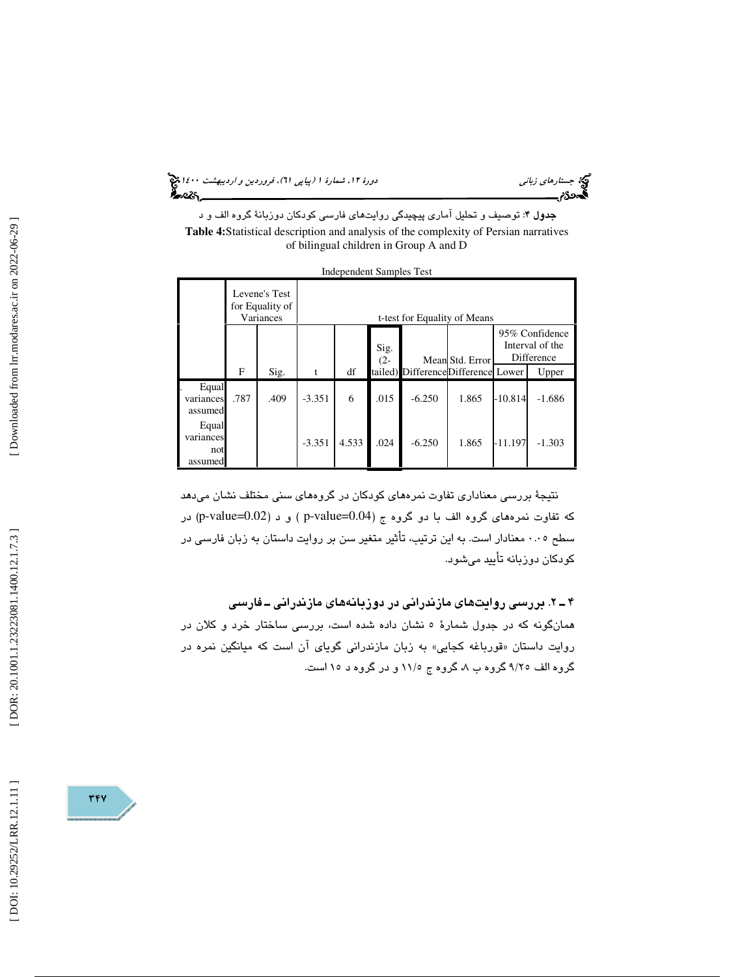(پياپي 61)، فروردين و ارديبهشت 1400 جستارهاي زباني دورة ،12 شمارة 1

جدول 4: توصيف و تحليل آماري پيچيدگي روايتهاي فارسي كودكان دوزبانة گروه الف و د **Table 4:**Statistical description and analysis of the complexity of Persian narratives of bilingual children in Group A and D

|                                      |      |                                               |                              | macpenaem banipies rest |                |                                    |                 |           |                                                 |
|--------------------------------------|------|-----------------------------------------------|------------------------------|-------------------------|----------------|------------------------------------|-----------------|-----------|-------------------------------------------------|
|                                      |      | Levene's Test<br>for Equality of<br>Variances | t-test for Equality of Means |                         |                |                                    |                 |           |                                                 |
|                                      |      |                                               |                              |                         | Sig.<br>$(2 -$ |                                    | Mean Std. Error |           | 95% Confidence<br>Interval of the<br>Difference |
|                                      | F    | Sig.                                          | t                            | df                      |                | tailed) DifferenceDifference Lower |                 |           | Upper                                           |
| Equal<br>variances<br>assumed        | .787 | .409                                          | $-3.351$                     | 6                       | .015           | $-6.250$                           | 1.865           | $-10.814$ | $-1.686$                                        |
| Equal<br>variances<br>not<br>assumed |      |                                               | $-3.351$                     | 4.533                   | .024           | $-6.250$                           | 1.865           | $-11.197$ | $-1.303$                                        |

Independent Samples Test

نتيجة بررسي معناداري تفاوت نمرههاي كودكان در گروههاي سني مختلف نشان ميدهد که تفاوت نمرههاي گروه الف با دو گروه ج (p-value=0.04) و د (p-value=0.02) در سطح ۰.۰٥ معنادار است. به اين ترتيب، تأثير متغير سن بر روايت داستان به زبان فارسي در كودكان دوزبانه تأييد ميشود.

2ـ 4 . بررسي روايتهاي مازندراني در دوزبانههاي مازندراني ـ فارسي همانگونه كه در جدول شمارة 5 نشان داده شده است، بررسي ساختار خرد و كلان در روايت داستان «قورباغه كجايي» به زبان مازندرانی گويای ان است كه ميانگين نمره در گروه الف ۹/۲٥ گروه ب ۸، گروه ج ۱۱/۵ و در گروه د ۱۵ است.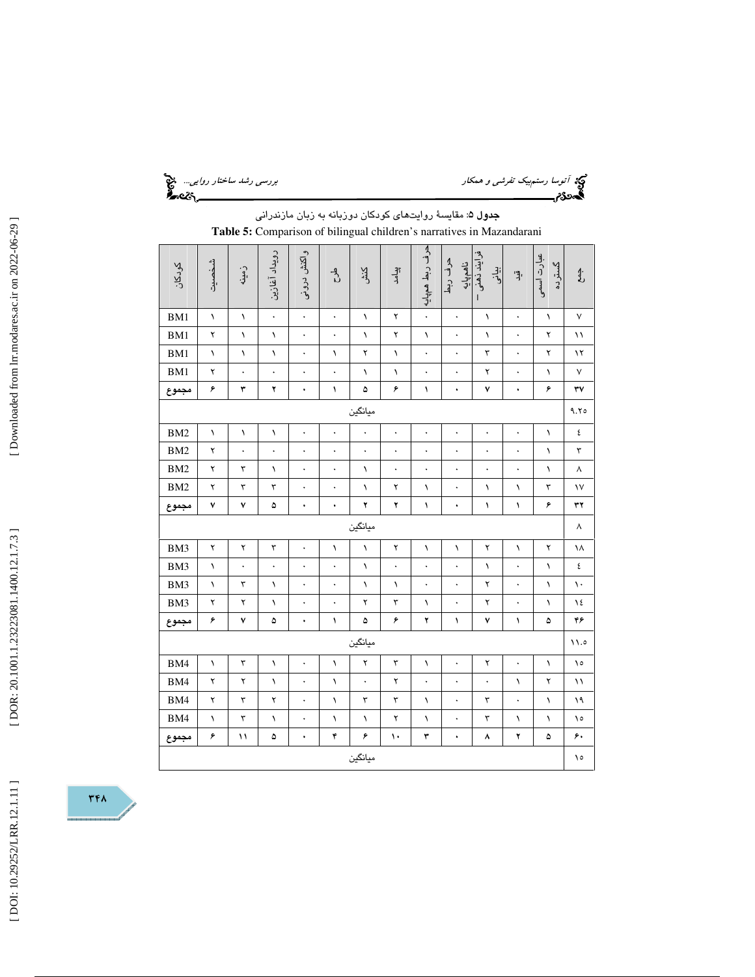آتوسا رستمبيك تفرشي و همكار بررسي رشد ساختار روايي...

جدول 5: مقايسة روايتهاي كودكان دوزبانه به زبان مازندراني **Table 5:** Comparison of bilingual children's narratives in Mazandarani

| كودكان          | شخصيت       | زمىين                | رويداد آغازين        | واكنش دروني          | $\frac{1}{\sqrt{2}}$ | کنش<br>ک             | الہ<br>إد            | حرف ربط همڀايه       | حرف ربط<br>ناهم پایه | فرايند ذهنى<br>ېيلنې<br>$\mathbf{I}$ | ا<br>پر              | عبارت اسمی<br>گسترىە | $\frac{4}{5}$         |
|-----------------|-------------|----------------------|----------------------|----------------------|----------------------|----------------------|----------------------|----------------------|----------------------|--------------------------------------|----------------------|----------------------|-----------------------|
| BM1             | $\lambda$   | ١                    | $\ddot{\phantom{0}}$ | $\ddot{\phantom{0}}$ | $\ddot{\phantom{0}}$ | $\lambda$            | ۲                    | $\ddot{\phantom{0}}$ | $\ddot{\phantom{0}}$ | $\lambda$                            | $\ddot{\phantom{0}}$ | $\lambda$            | $\mathsf{V}$          |
| BM1             | ۲           | ١                    | $\lambda$            | ۰                    | $\bullet$            | ١                    | ۲                    | ١                    | $\bullet$            | $\lambda$                            | $\bullet$            | ۲                    | ۱۱                    |
| BM1             | $\lambda$   | ١                    | $\lambda$            |                      | $\lambda$            | ۲                    | $\lambda$            |                      |                      | ٣                                    |                      | ۲                    | ۱۲                    |
| BM1             | ۲           | $\ddot{\phantom{0}}$ | $\ddot{\phantom{0}}$ | $\ddot{\phantom{1}}$ | $\ddot{\phantom{0}}$ | ١                    | $\lambda$            | $\ddot{\phantom{0}}$ |                      | ۲                                    | $\bullet$            | ١                    | $\sf V$               |
| مجموع           | ۶           | ٣                    | ۲                    | ۰                    | ١                    | ۵                    | ۶                    | $\sqrt{2}$           | ۰                    | ٧                                    | ۰                    | ۶                    | ٣٧                    |
|                 |             |                      |                      |                      |                      | ميانگين              |                      |                      |                      |                                      |                      |                      | 9.70                  |
| BM <sub>2</sub> | ١           | ١                    | $\lambda$            | $\ddot{\phantom{0}}$ | $\bullet$            | $\ddot{\phantom{0}}$ | $\ddot{\phantom{0}}$ | $\ddot{\phantom{0}}$ |                      | $\bullet$                            |                      | $\lambda$            | ٤                     |
| BM <sub>2</sub> | ۲           | $\ddot{\phantom{0}}$ | $\ddot{\phantom{0}}$ |                      | $\ddot{\phantom{0}}$ | $\ddot{\phantom{0}}$ | $\ddot{\phantom{0}}$ |                      |                      | $\ddot{\phantom{0}}$                 | $\ddot{\phantom{0}}$ | $\sqrt{2}$           | $\mathbf{\breve{v}}$  |
| BM <sub>2</sub> | $\mathbf Y$ | $\mathbf{\breve{r}}$ | $\lambda$            | $\ddot{\phantom{0}}$ |                      | ١                    | $\ddot{\phantom{0}}$ | $\ddot{\phantom{0}}$ |                      | $\ddot{\phantom{0}}$                 |                      | $\lambda$            | $\boldsymbol{\wedge}$ |
| BM <sub>2</sub> | ۲           | ٣                    | ٣                    | ۰                    | $\ddot{\phantom{0}}$ | ١                    | ۲                    | ١                    |                      | ١                                    | ١                    | ٣                    | $\mathsf{V}$          |
| مجموع           | ٧           | ٧                    | ۵                    | ۰                    | ۰                    | ۲                    | ۲                    | ١                    | ۰                    | ١                                    | ١                    | ۶                    | ٣٢                    |
|                 |             |                      |                      |                      |                      | ميانگين              |                      |                      |                      |                                      |                      |                      | ٨                     |
| BM3             | ۲           | ۲                    | ٣                    | $\ddot{\phantom{0}}$ | ١                    | $\lambda$            | ۲                    | ١                    | ١                    | ۲                                    | ١                    | ۲                    | ١٨                    |
| BM3             | $\lambda$   | $\bullet$            | $\bullet$            |                      |                      | ١                    | $\ddot{\phantom{0}}$ |                      |                      | $\lambda$                            |                      | $\lambda$            | ٤                     |
| BM3             | $\lambda$   | $\mathbf{\breve{v}}$ | ١                    | $\bullet$            | $\ddot{\phantom{0}}$ | ١                    | ١                    | $\ddot{\phantom{0}}$ | $\ddot{\phantom{0}}$ | ۲                                    |                      | $\lambda$            | $\mathcal{L}$         |
| BM3             | ۲           | ۲                    | ١                    | ۰                    | $\ddot{\phantom{0}}$ | ۲                    | ٣                    | $\lambda$            |                      | ۲                                    |                      | $\lambda$            | ١٤                    |
| مجموع           | ۶           | ٧                    | ۵                    | ۰                    | ١                    | ۵                    | ۶                    | ۲                    | $\sqrt{2}$           | ٧                                    | ١                    | ۵                    | ۴۶                    |
|                 |             |                      |                      |                      |                      | ميانگين              |                      |                      |                      |                                      |                      |                      | 11.0                  |
| BM4             | $\lambda$   | ٣                    | $\lambda$            | $\ddot{\phantom{0}}$ | $\lambda$            | ۲                    | ٣                    | $\lambda$            |                      | ۲                                    | $\ddot{\phantom{0}}$ | $\lambda$            | ۰۱                    |
| BM4             | ۲           | ۲                    | $\lambda$            | $\bullet$            | $\lambda$            | $\ddot{\phantom{0}}$ | ۲                    |                      | $\ddot{\phantom{0}}$ | $\bullet$                            | ١                    | ۲                    | ۱١                    |
| BM4             | ۲           | $\mathbf{\breve{v}}$ | ۲                    | ۰                    | $\lambda$            | ٣                    | ٣                    | $\lambda$            |                      | ٣                                    | $\ddot{\phantom{0}}$ | $\lambda$            | ۱۹                    |
| BM4             | $\lambda$   | ٣                    | ١                    | $\ddot{\phantom{0}}$ | ١                    | $\lambda$            | ۲                    | ١                    |                      | ٣                                    | ١                    | ١                    | ۱٥                    |
| مجموع           | ۶           | ۱۱                   | ۵                    | ۰                    | ۴                    | ۶                    | ١٠                   | ٣                    | ۰                    | ۸                                    | ۲                    | ۵                    | ۶.                    |
|                 |             |                      |                      |                      |                      | ميانگين              |                      |                      |                      |                                      |                      |                      | ١٥                    |

 $rrA$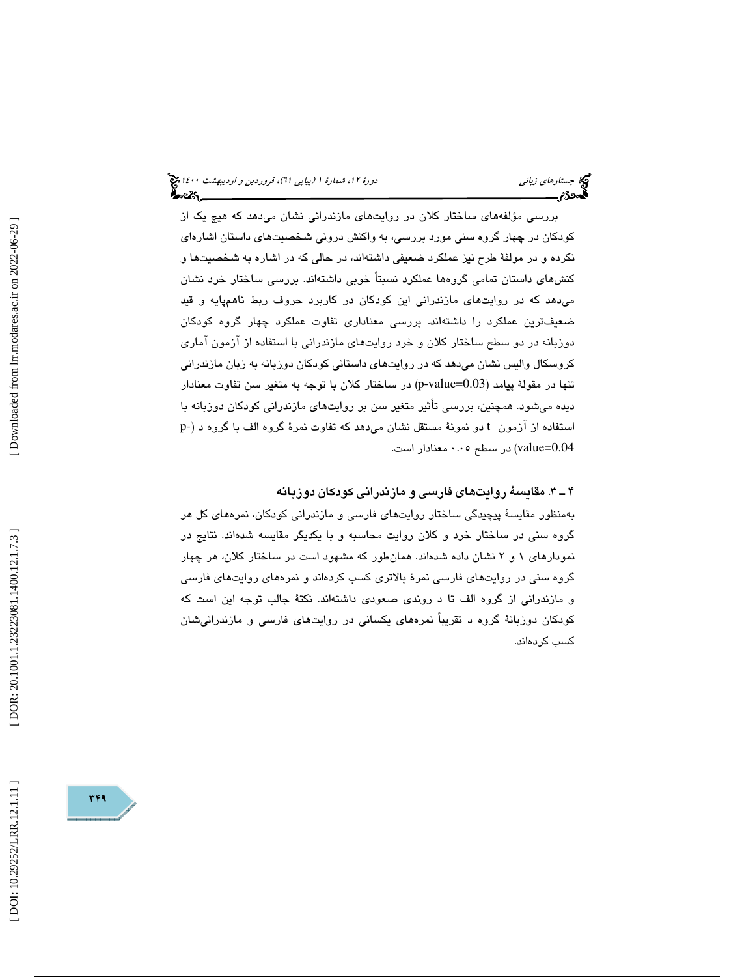(پياپي 61)، فروردين و ارديبهشت 1400 جستارهاي زباني دورة ،12 شمارة 1

بررسی مؤلفههای ساختار کلان در روایتهای مازندرانی نشان میدهد که هیچ یک از كودكان در چهار گروه سني مورد بررسي، به واكنش دروني شخصيتهاي داستان اشارهاي نكرده و در مولفة طرح نيز عملكرد ضعيفي داشتهاند، در حالي كه در اشاره به شخصيتها و كنشهاي داستان تمامي گروهها عملكرد نسبتاً خوبي داشتهاند. بررسي ساختار خرد نشان ميدهد كه در روايتهاي مازندراني اين كودكان در كاربرد حروف ربط ناهمپايه و قيد ضعيفترين عملكرد را داشتهاند. بررسي معناداري تفاوت عملكرد چهار گروه كودكان دوزبانه در دو سطح ساختار كلان و خرد روايتهاي مازندراني با استفاده از آزمون آماري كروسكال واليس نشان ميدهد كه در روايتهاي داستاني كودكان دوزبانه به زبان مازندراني تنها در مقولهٔ پیامد (p-value=0.03) در ساختار كلان با توجه به متغیر سن تفاوت معنادار ديده ميشود. همچنين، بررسي تأثير متغير سن بر روايتهاي مازندراني كودكان دوزبانه با p- استفاده از آزمون t دو نمونة مستقل نشان ميدهد كه تفاوت نمرة گروه الف با گروه د ( 0.04=value ( در سطح 0.05 معنادار است.

3ـ 4 . مقايسة روايتهاي فارسي و مازندراني كودكان دوزبانه

بهمنظور مقايسة پيچيدگي ساختار روايتهاي فارسي و مازندراني كودكان، نمرههاي كل هر گروه سني در ساختار خرد و كلان روايت محاسبه و با يكديگر مقايسه شدهاند. نتايج در نمودارهاي 1 2و نشان داده شدهاند. همانطور كه مشهود است در ساختار كلان، هر چهار گروه سني در روايتهاي فارسي نمرة بالاتري كسب كردهاند و نمرههاي روايتهاي فارسي و مازندراني از گروه الف تا د روندي صعودي داشتهاند. نكتة جالب توجه اين است كه كودكان دوزبانة گروه د تقريباً نمرههاي يكساني در روايتهاي فارسي و مازندرانيشان كسب كردهاند.

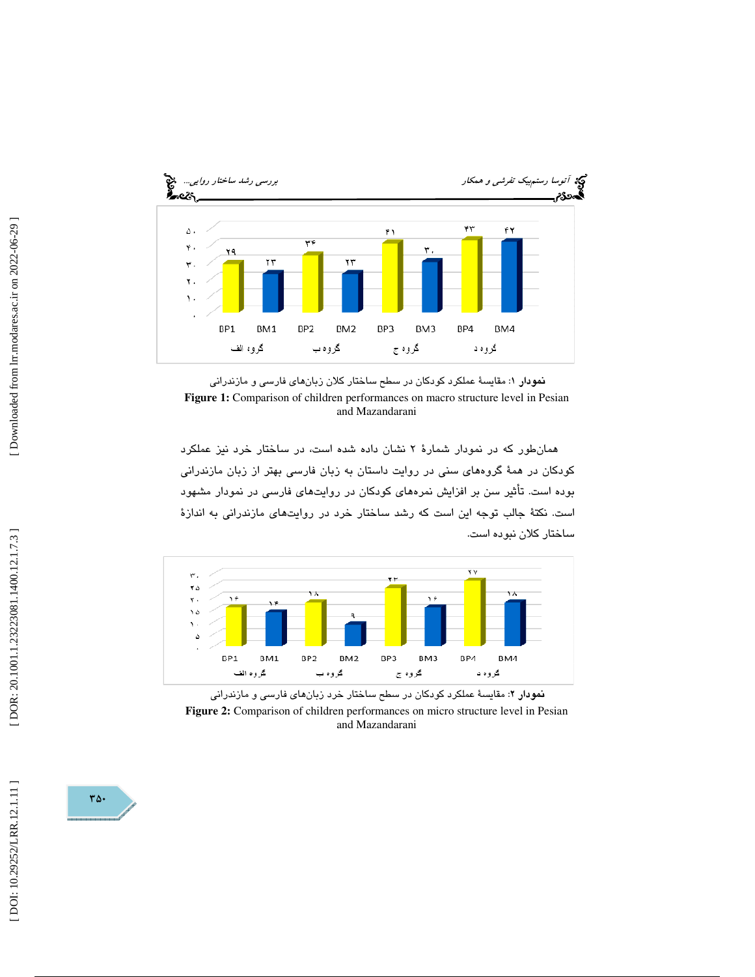

نمودار 1: مقايسة عملكرد كودكان در سطح ساختار كلان زبانهاي فارسي و مازندراني **Figure 1:** Comparison of children performances on macro structure level in Pesian and Mazandarani

همانطور كه در نمودار شمارة 2 نشان داده شده است، در ساختار خرد نيز عملكرد كودكان در همة گروههاي سني در روايت داستان به زبان فارسي بهتر از زبان مازندراني بوده است. تأثير سن بر افزايش نمرههاي كودكان در روايتهاي فارسي در نمودار مشهود است. نكتة جالب توجه اين است كه رشد ساختار خرد در روايتهاي مازندراني به اندازة ساختار كلان نبوده است.



نمودار 2: مقايسة عملكرد كودكان در سطح ساختار خرد زبانهاي فارسي و مازندراني **Figure 2:** Comparison of children performances on micro structure level in Pesian and Mazandarani

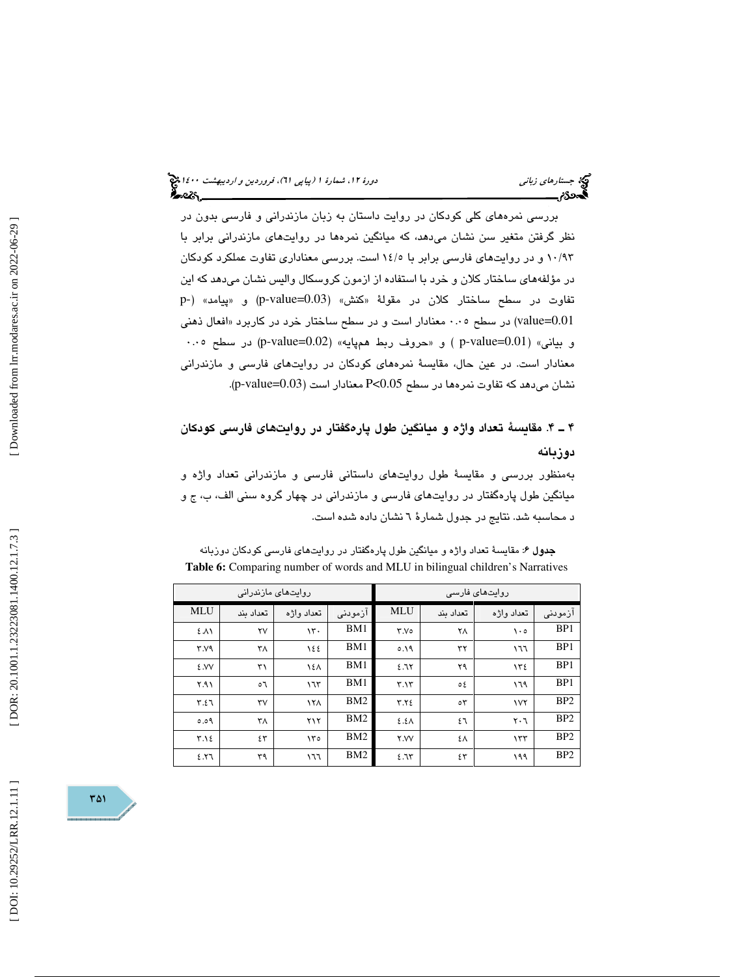بررسي نمرههاي كلي كودكان در روايت داستان به زبان مازندراني و فارسي بدون در نظر گرفتن متغير سن نشان ميدهد، كه ميانگين نمرهها در روايتهاي مازندراني برابر با 93/ 10 و در روايتهاي فارسي برابر با 5/ 14 است. بررسي معناداري تفاوت عملكرد كودكان در مؤلفههاي ساختار كلان و خرد با استفاده از ازمون كروسكال واليس نشان ميدهد كه اين تفاوت در سطح ساختار كلان در مقولهٔ «كنش» (p-value=0.03) و «پيامد» (-p value=0.01) در سطح ۰.۰۰ معنادار است و در سطح ساختار خرد در كاربرد «افعال ذهني و بياني» (p-value=0.01) و «حروف ربط همپايه» (p-value=0.02) در سطح ۰.۰۰ معنادار است. در عين حال، مقايسة نمرههاي كودكان در روايتهاي فارسي و مازندراني (. p-value=0.03 نشان ميدهد كه تفاوت نمرهها در سطح 0.05>P معنادار است (

# 4ـ 4 . مقايسة تعداد واژه و ميانگين طول پارهگفتار در روايتهاي فارسي كودكان دوزبانه

بهمنظور بررسي و مقايسة طول روايتهاي داستاني فارسي و مازندراني تعداد واژه و ميانگين طول پارهگفتار در روايتهاي فارسي و مازندراني در چهار گروه سني الف، ب، ج و د محاسبه شد. نتايج در جدول شمارة 6 نشان داده شده است.

جدول 6: مقايسة تعداد واژه و ميانگين طول پارهگفتار در روايتهاي فارسي كودكان دوزبانه **Table 6:** Comparing number of words and MLU in bilingual children's Narratives

|                 |                        | روایتھای مازندرانی     |                 |               |              | روایتھای فارسی                |                 |
|-----------------|------------------------|------------------------|-----------------|---------------|--------------|-------------------------------|-----------------|
| <b>MLU</b>      | تعداد ىند              | تعداد واژه             | أزمودني         | <b>MLU</b>    | تعداد ىند    | تعداد وإژه                    | ازمودنى         |
| ٤٨١             | ۲۷                     | $\mathcal{N}$ .        | BM1             | Y.Vo          | ٢٨           | $\lambda \cdot o$             | BP1             |
| Y.Y             | ٣٨                     | 122                    | BM1             | 0.19          | ٣٢           | ۱٦٦                           | BP1             |
| ٤.VV            | ٣١                     | 121                    | BM1             | 2.71          | ۲۹           | ١٣٤                           | BP1             |
| $Y.A \setminus$ | ٥٦                     | 175                    | BM1             | Y.1Y          | ع ہ          | ۱٦۹                           | BP1             |
| 7.57            | $\mathsf{r}\mathsf{v}$ | 171                    | BM2             | $Y.Y\epsilon$ | $\circ \tau$ | 1VY                           | B <sub>P2</sub> |
| 0.09            | ٣٨                     | ۲۱۲                    | BM <sub>2</sub> | $2.5\lambda$  | ٤٦           | $\mathsf{r} \cdot \mathsf{r}$ | B <sub>P2</sub> |
| $Y.\lambda \xi$ | ٤٣                     | $\mathcal{N}^{\sigma}$ | BM2             | <b>Y.VV</b>   | ٤٨           | 157                           | B <sub>P2</sub> |
| 5.57            | ٣٩                     | ۱٦٦                    | BM <sub>2</sub> | 2.75          | ٤٣           | ۱۹۹                           | B <sub>P2</sub> |

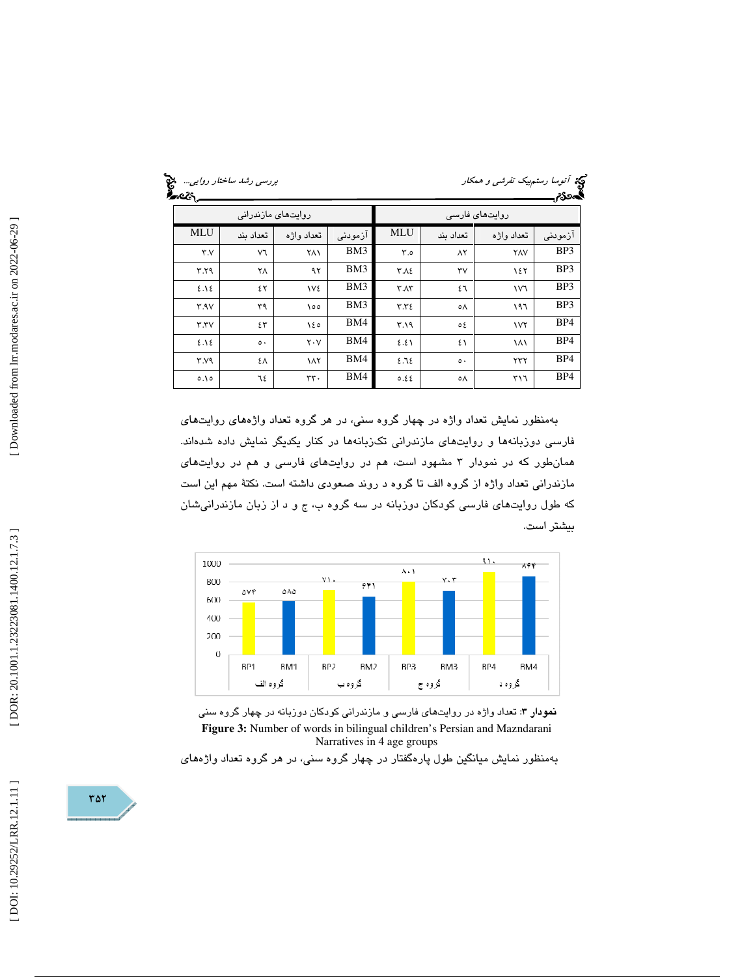| टूः<br>-व्यु | روایتھای مازندرانی |             |         |                 | روایتھائ فارسے         |            |         |
|--------------|--------------------|-------------|---------|-----------------|------------------------|------------|---------|
| <b>MLU</b>   | تعداد ىند          | تعداد وإژه  | ازمودنى | <b>MLU</b>      | تعداد ىند              | تعداد وإژه | ازمودنى |
| Y.Y          | V٦                 | ٢٨١         | BM3     | $\mathsf{r}$ .0 | $\Lambda$ ٢            | <b>YAV</b> | BP3     |
| ۳.۲۹         | ٢٨                 | ۹۲          | BM3     | ۲.۸٤            | $\mathsf{r}\mathsf{v}$ | ١٤٢        | BP3     |
| 2.12         | ٤٢                 | <b>IVE</b>  | BM3     | $Y \Lambda Y$   | ٤٦                     | ١V٦        | BP3     |
| Y.9V         | ٣٩                 | ١٥٥         | BM3     | Y.YZ            | ٥Λ                     | ۱۹٦        | BP3     |
| Y.YV         | ٤٣                 | ١٤٥         | BM4     | 4.19            | ٥٤                     | <b>IVY</b> | BP4     |
| 2.12         | $\circ$ .          | $Y \cdot V$ | BM4     | 2.21            | ٤١                     | ۱۸۱        | BP4     |
| Y.Y9         | ٤٨                 | ١٨٢         | BM4     | 2.72            | $\circ$ .              | ۲۳۲        | BP4     |
| 0.10         | ٦٤                 | rr.         | BM4     | 0.22            | ٥Λ                     | ٣١٦        | BP4     |

بهمنظور نمايش تعداد واژه در چهار گروه سني، در هر گروه تعداد واژههاي روايتهاي فارسي دوزبانهها و روايتهاي مازندراني تكزبانهها در كنار يكديگر نمايش داده شدهاند. همانطور كه در نمودار 3 مشهود است، هم در روايتهاي فارسي و هم در روايتهاي مازندراني تعداد واژه از گروه الف تا گروه د روند صعودي داشته است. نكتة مهم اين است كه طول روايتهاي فارسي كودكان دوزبانه در سه گروه ب، ج و د از زبان مازندرانيشان بيشتر است.



نمودار 3: تعداد واژه در روايتهاي فارسي و مازندراني كودكان دوزبانه در چهار گروه سني **Figure 3:** Number of words in bilingual children's Persian and Mazndarani Narratives in 4 age groups

بهمنظور نمايش ميانگين طول پارهگفتار در چهار گروه سني، در هر گروه تعداد واژههاي

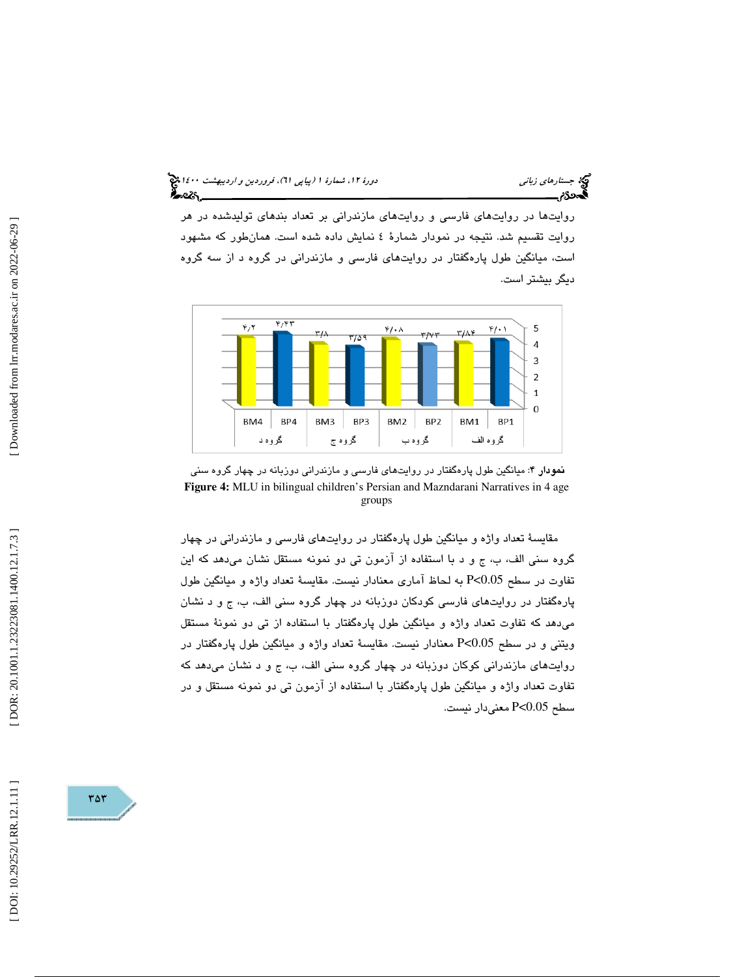## (پياپي 61)، فروردين و ارديبهشت 1400 جستارهاي زباني دورة ،12 شمارة 1 ీ~య.\_

روايتها در روايتهاي فارسي و روايتهاي مازندراني بر تعداد بندهاي توليدشده در هر روايت تقسيم شد. نتيجه در نمودار شمارة 4 نمايش داده شده است. همانطور كه مشهود است، ميانگين طول پارهگفتار در روايتهاي فارسي و مازندراني در گروه د از سه گروه ديگر بيشتر است.



نمودار 4: ميانگين طول پارهگفتار در روايتهاي فارسي و مازندراني دوزبانه در چهار گروه سني **Figure 4:** MLU in bilingual children's Persian and Mazndarani Narratives in 4 age groups

مقايسة تعداد واژه و ميانگين طول پارهگفتار در روا يتهاي فارسي و مازندراني در چهار گروه سني الف، ب، ج و د با استفاده از آزمون تي دو نمونه مستقل نشان ميدهد كه اين تفاوت در سطح 0.05>P به لحاظ آماري معنادار نيست. مقايسة تعداد واژه و ميانگين طول پارهگفتار در روايتهاي فارسي كودكان دوزبانه در چهار گروه سني الف، ب، ج و د نشان ميدهد كه تفاوت تعداد واژه و ميانگين طول پارهگفتار با استفاده از تي دو نمون ة مستقل ويتني و در سطح 0.05>P معنادار نيست. مقايسة تعداد واژه و ميانگين طول پارهگفتار در روايتهاي مازندراني كوكان دوزبانه در چهار گروه سني الف، ب، ج و د نشان ميدهد كه تفاوت تعداد واژه و ميانگين طول پارهگفتار با استفاده از آزمون تي دو نمونه مستقل و در سطح 0.05>P معنيدار نيست.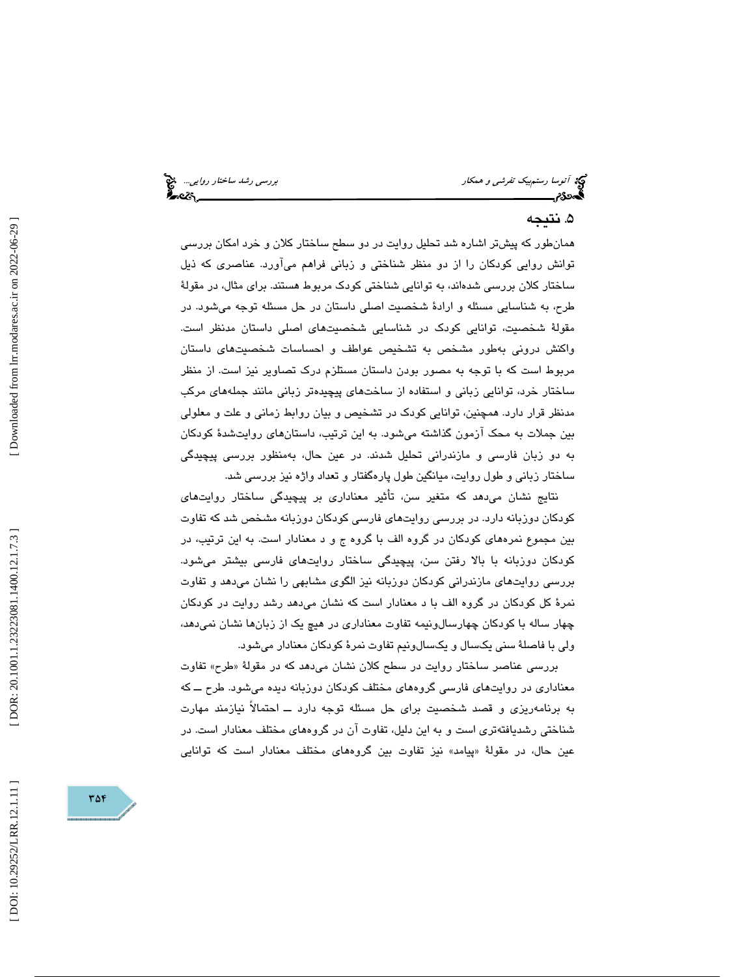# توكة آتوسا رستم*بيك تفرشي و همكار بررسي رشد ساختار روايي..*. چ<mark>خ</mark><br>**آتوسا رستم**بيك *تفرشي و همكار* بررسي بررسي بررسي رشد ساختار بررسي رشد ساختار روايي... چخ

# . نتيجه 5

همانطور كه پيشتر اشاره شد تحليل روايت در دو سطح ساختار كلان و خرد امكان بررسي توانش روايي كودكان را از دو منظر شناختي و زباني فراهم ميآورد. عناصري كه ذيل ساختار كلان بررسي شدهاند، به توانايي شناختي كودك مربوط هستند. براي مثال، در مقولة طرح، به شناسايي مسئله و ارادة شخصيت اصلي داستان در حل مسئله توجه ميشود. در مقولة شخصيت، توانايي كودك در شناسايي شخصيتهاي اصلي داستان مدنظر است. واكنش دروني بهطور مشخص به تشخيص عواطف و احساسات شخصيتهاي داستان مربوط است كه با توجه به مصور بودن داستان مستلزم درك تصاوير نيز است. از منظر ساختار خرد، توانايي زباني و استفاده از ساختهاي پيچيدهتر زباني مانند جملههاي مركب مدنظر قرار دارد. همچنين، توانايي كودك در تشخيص و بيان روابط زماني و علت و معلولي بين جملات به محك آزمون گذاشته ميشود. به اين ترتيب، داستانهاي روايتشدة كودكان به دو زبان فارسي و مازندراني تحليل شدند. در عين حال، بهمنظور بررسي پيچيدگي ساختار زباني و طول روايت، ميانگين طول پارهگفتار و تعداد واژه نيز بررسي شد.

نتايج نشان ميدهد كه متغير سن ، تأثير معناداري بر پيچيدگي ساختار روايتهاي كودكان دوزبانه دارد. در بررسي روايتهاي فارسي كودكان دوزبانه مشخص شد كه تفاوت بين مجموع نمرههاي كودكان در گروه الف با گروه ج و د معنادار است. به اين ترتيب، در كودكان دوزبانه با بالا رفتن سن، پيچيدگي ساختار روايتهاي فارسي بيشتر ميشود. بررسي روايتهاي مازندراني كودكان دوزبانه نيز الگوي مشابهي را نشان ميدهد و تفاوت نمرة كل كودكان در گروه الف با د معنادار است كه نشان ميدهد رشد روايت در كودكان چهار ساله با كودكان چهارسالونيمه تفاوت معناداری در هيچ يک از زبانها نشان نمیدهد، ولی با فاصلهٔ سنی یکسال و یکسالونیم تفاوت نمرهٔ کودکان معنادار میشود.

بررسی عناصر ساختار روایت در سطح کلان نشان میٖدهد که در مقولهٔ «طرح» تفاوت معناداري در روايتهاي فارسي گروههاي مختلف كودكان دوزبانه ديده ميشود. طرح ــ كه به برنامهريزي و قصد شخصيت براي حل مسئله توجه دارد ــ احتمالاً نيازمند مهارت شناختي رشديافتهتري است و به اين دليل، تفاوت آن در گروههاي مختلف معنادار است. در عين حال، در مقولهٔ «پيامد» نيز تفاوت بين گروههای مختلف معنادار است كه توانايی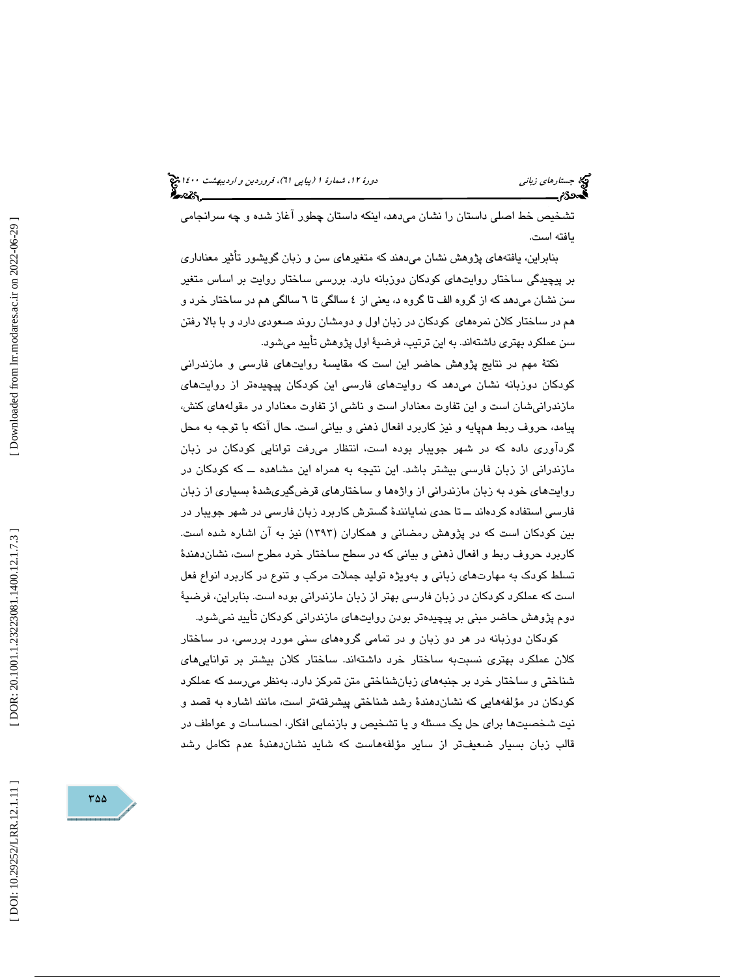تشخيص خط اصلي داستان را نشان ميدهد، اينكه داستان چطور آغاز شده و چه سرانجامي يافته است.

بنابراين، يافتههاي پژوهش نشان ميدهند كه متغيرهاي سن و زبان گويشور تأثير معناداري بر پيچيدگي ساختار روايتهاي كودكان دوزبانه دارد. بررسي ساختار روايت بر اساس متغير سن نشان ميدهد كه از گروه الف تا گروه د، يعني از ٤ سالگي تا ٦ سالگي هم در ساختار خرد و هم در ساختار كلان نمرههاي كودكان در زبان اول و دومشان روند صعودي دارد و با بالا رفتن سن عملكرد بهتري داشتهاند. به اين ترتيب، فرضية اول پژوهش تأييد ميشود.

نكتة مهم در نتايج پژوهش حاضر اين است كه مقايسة روايتهاي فارسي و مازندراني كودكان دوزبانه نشان ميدهد كه روايتهاي فارسي اين كودكان پيچيدهتر از روايتهاي مازندرانيشان است و اين تفاوت معنادار است و ناشي از تفاوت معنادار در مقولههاي كنش، پيامد، حروف ربط همپايه و نيز كاربرد افعال ذهني و بياني است. حال آنكه با توجه به محل گردآوري داده كه در شهر جويبار بوده است، انتظار ميرفت توانايي كودكان در زبان مازندراني از زبان فارسي بيشتر باشد. اين نتيجه به همراه اين مشاهده ــ كه كودكان در روايتهاي خود به زبان مازندراني از واژهها و ساختارهاي قرضگيريشدة بسياري از زبان فارسي استفاده كردهاند ــ تا حدي نمايانندة گسترش كاربرد زبان فارسي در شهر جويبار در بين كودكان است كه در پژوهش رمضاني و همكاران (1393) نيز به آن اشاره شده است. كاربرد حروف ربط و افعال ذهني و بياني كه در سطح ساختار خرد مطرح است، نشاندهندة تسلط كودك به مهارتهاي زباني و بهويژه توليد جملات مركب و تنوع در كاربرد انواع فعل است كه عملكرد كودكان در زبان فارسي بهتر از زبان مازندراني بوده است. بنابراين، فرضية دوم پژوهش حاضر مبني بر پيچيدهتر بودن روايتهاي مازندراني كودكان تأييد نميشود.

كودكان دوزبانه در هر دو زبان و در تمامي گروههاي سني مورد بررسي ، در ساختار كلان عملكرد بهتري نسبتبه ساختار خرد داشتهاند. ساختار كلان بيشتر بر تواناييهاي شناختي و ساختار خرد بر جنبههاي زبانشناختي متن تمركز دارد. به نظر ميرسد كه عملكرد كودكان در مؤلفههايي كه نشاندهندة رشد شناختي پيشرفتهتر است، مانند اشاره به قصد و نيت شخصيتها براي حل يك مسئله و يا تشخيص و بازنمايي افكار، احساسات و عواطف در قالب زبان بسيار ضعيفتر از ساير مؤلفههاست كه شايد نشاندهندة عدم تكامل رشد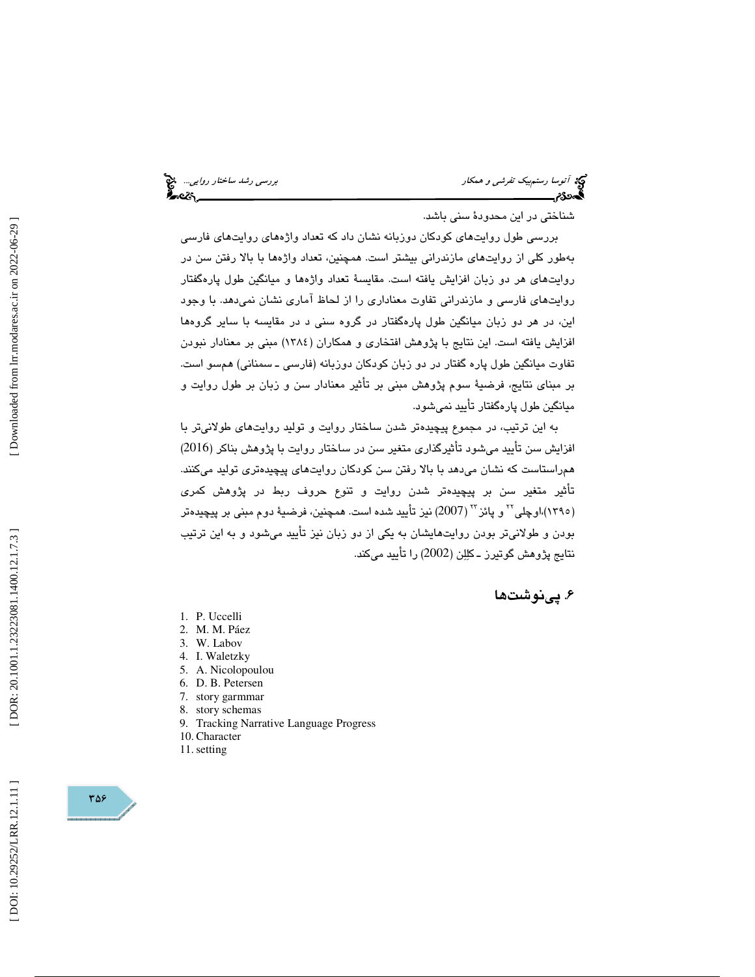# توسط رستم بيك تفر*شي و همكار باست و همكار بررسي رشد ساختار روايي..*. الميخ<br>**آتوسط رستمب**يك تفر*شي و همكار*<br>**آتوسط رستمبر بررسي بررسي بررسي بررسي بررسي بررسي بررسي بررسي بررسي بررسي بررسي بررسي بررسي بررسي بررسي بررسي بر**

شناختي در اين محدودة سني باشد.

بررسي طول روايتهاي كودكان دوزبانه نشان داد كه تعداد واژههاي روايتهاي فارسي بهطور كلي از روايتهاي مازندراني بيشتر است. همچنين، تعداد واژهها با بالا رفتن سن در روايتهاي هر دو زبان افزايش يافته است. مقايسة تعداد واژهها و ميانگين طول پارهگفتار روايتهاي فارسي و مازندراني تفاوت معناداري را از لحاظ آماري نشان نميدهد. با وجود اين، در هر دو زبان ميانگين طول پارهگفتار در گروه سني د در مقايسه با ساير گروهها افزايش يافته است. اين نتايج با پژوهش افتخاري و همكاران (1384 ) مبني بر معنادار نبودن تفاوت ميانگين طول پاره گفتار در دو زبان كودكان دوزبانه (فارسي ـ سمناني) همسو است. بر مبناي نتايج، فرضية سوم پژوهش مبني بر تأثير معنادار سن و زبان بر طول روايت و ميانگين طول پارهگفتار تأييد نميشود.

به اين ترتيب، در مجموع پيچيد هتر شدن ساختار روايت و توليد روايتهاي طولانيتر با افزايش سن تأييد ميشود تأثيرگذاري متغير سن در ساختار روايت با پژوهش بناكر (2016 ) همراستاست كه نشان ميدهد با بالا رفتن سن كودكان روايتهاي پيچيدهتري توليد ميكنند . تأثير متغير سن بر پيچيدهتر شدن روايت و تنوع حروف ربط در پژوهش كمري (١٣٩٥)،اوچلی<sup>۲۲</sup> و پائز <sup>۲۲</sup> (2007) نيز تأييد شده است. همچنين، فرضيهٔ دوم مبن*ی* بر پيچيدهتر بودن و طولانيتر بودن روايتهايشان به يكي از دو زبان نيز تأييد ميشود و به اين ترتيب نتايج پژوهش گوتيرز ـ كللن (2002) را تأييد مي .كند

# . 6 پينوشت ها

- 1. P. Uccelli
- 2. M. M. Páez
- 3. W. Labov
- 4. I. Waletzky
- 5. A. Nicolopoulou
- 6. D. B. Petersen
- 7. story garmmar
- 8. story schemas
- 9. Tracking Narrative Language Progress
- 10. Character
- 11.setting

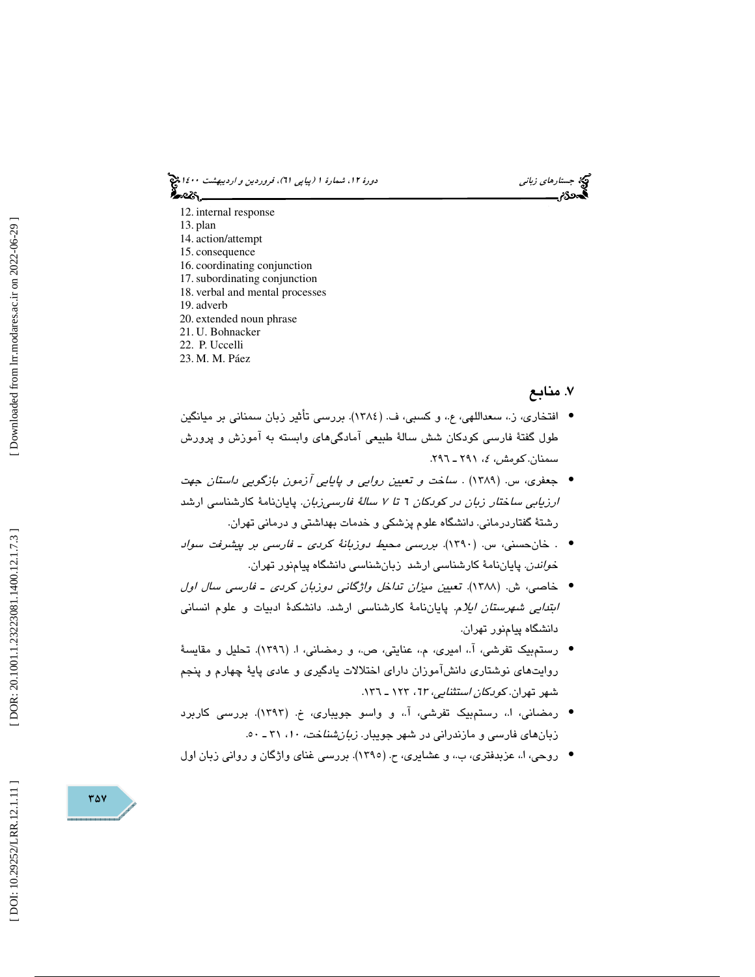دورهٔ ۱۲، شمارهٔ ۱ (پياپي T۱)، فروردين و ارديبهشت ۱٤۰۰ چ ಹಿಂದಿ

12. internal response

- 13. plan
- 14. action/attempt
- 15. consequence
- 16. coordinating conjunction
- 17.subordinating conjunction 18. verbal and mental processes
- 19. adverb
- 20. extended noun phrase
- 21. U. Bohnacker
- 22. P. Uccelli
- 23. M. M. Páez

# ۷. منابع

جج جستار*های زبانی*<br>دوره

.<br>موك

- افتخاري، ز،. سعداللهي، ع،. و كسبي، ف. (1384). بررسي تأثير زبان سمناني بر ميانگين طول گفتهٔ فارسی کودکان شش سالهٔ طبیعی آمادگیهای وابسته به آموزش و پرورش<br>سمنان. *کومش، ٤، ۲۹*۱ ـ ۲۹۱.
- . ساخت و تعيين روايي و پايايي آزمون بازگويي داستان جهت جعفري، س. (1389) ارزيابي ساختار زبان در كودكان 6 تا 7 سالة فارسيزبان. پاياننامة كارشناسي ارشد رشتة گفتاردرماني. دانشگاه علوم پزشكي و خدمات بهداشتي و درماني تهران.
- خانحسني، س. (1390). بررسي محيط دوزبانة كردي ـ فارسي بر پيشرفت سواد . خ*واندن.* پاياننامهٔ كارشناسي ارشد زبانشناسي دانشگاه پيامنور تهران.
- خاصي، ش. (1388). تعيين ميزان تداخل واژگاني دوزبان كردي ـ فارسي سال اول *ابتدايي شهرستان ايلام.* پاياننامهٔ كارشناسي ارشد. دانشكدهٔ ادبيات و علوم انساني دانشگاه پيامنور تهران.
- رستم بيک تفرشي، آ.، اميري، م.، عنايتي، ص.، و رمضاني، ا. (١٣٩٦). تحليل و مقايسهٔ روایتهای نوشتاری دانشآموزان دارای اختلالات یادگیری و عادی پایهٔ چهارم و پنجم<br>شهر تهران. *کودکان استثنایی، ٦*٣، ١٢٣ ـ ١٣٦.
- رمضاني، ا،. رستمبيك تفرشي، آ،. و واسو جويباري، خ. (1393). بررسي كاربرد زبانهای فارسی و مازندرانی در شهر جویبار. *زبانشنا*خت، ۱۰، ۳۱ ـ ۵۰.
	- روحي، ا.، عزبدفتري، ب.، و عشايري، ح. (١٣٩٥). بررسي غناي واژگان و رواني زبان اول

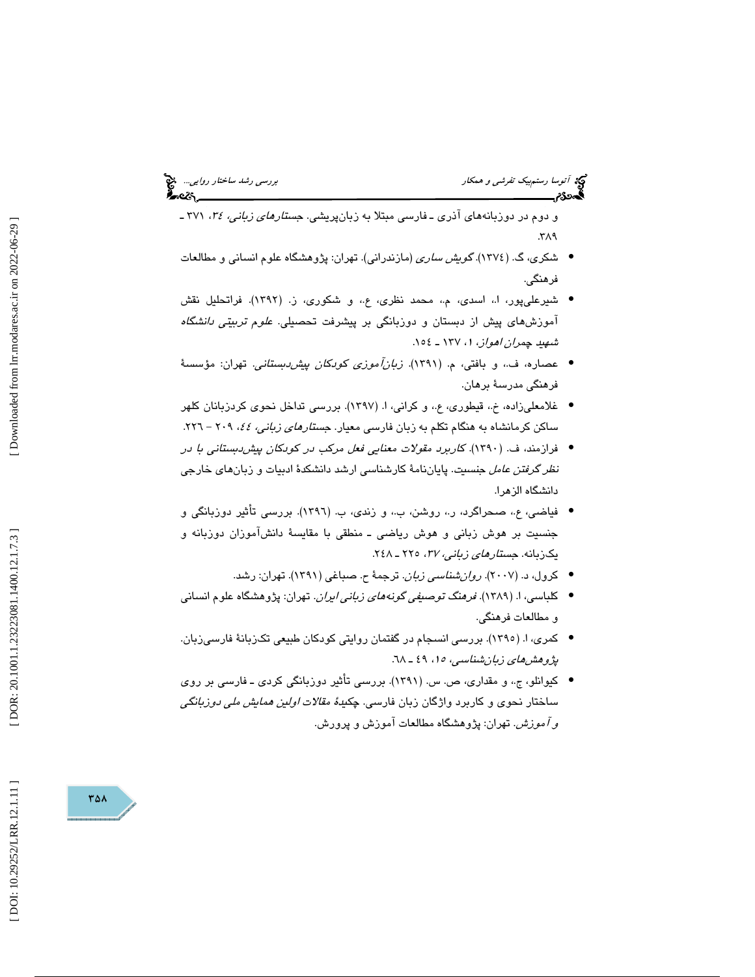و دوم در دوزبانههای آذری ـ فارسی مبتلا به زبان،پریشی. ج*ستارهای زبانی، ۲۶،* ۳۷۱ ـ<br>۳۸۹.

- شكري، گ. (1374). گويش ساري (مازندراني). تهران: پژوهشگاه علوم انساني و مطالعات فرهنگي.
- شيرعلي پور، ا،، اسدي، م.، محمد نظري، ع.، و شكوري، ز. (١٣٩٢). فراتحليل نقش آموزشهای پیش از دبستان و دوزبانگی بر پیشرفت تحصیلی. *علوم تربیتی دانشگاه*<br>ش*هید چمران اهواز*، ۱ /۱۲۷ ـ ۱۵۶.
- عصاره، ف،. و بافتي، م. (1391). زبانآموزي كودكان پيشدبستاني. تهران: مؤسسة فرهنگي مدرسة برهان.
- غلامعلیزاده، خ.، قیطوری، ع.، و کرانی، ا. (۱۳۹۷). بررسی تداخل نحوی کردزبانان کلهر ساكن كرمانشاه به هنگام تكلم به زبان فارس*ی* معیار. ج*ستارهای زبانی، ٤٤،* ٢٠٩ – ٢٢٦.
- فرازمند، ف. (١٣٩٠). ك*اربرد مقولات معنايي فعل مركب در كودكان پيش دبستاني با در* ن*ظر گرفتن عامل جنسيت*. پاياننامهٔ كارشناسي ارشد دانشكدهٔ ادبيات و زبانهاي خارجي دانشگاه الزهرا.
- فياضى، ع.، صحراگرد، ر.، روشن، ب.، و زندى، ب. (١٣٩٦). بررسى تأثير دوزبانگى و جنسیت بر هوش زبانی و هوش ریاضی ـ منطقی با مقایسهٔ دانشاموزان دوزبانه و يكزبانه. ج*ستارهاي زباني، ٣٧،* ٢٢٥ ـ ٢٤٨.
	- كرول، د. (2007). روانشناسي زبان. ترجمة ح. صباغي (1391). تهران: رشد. •
- كلباسي، ا. (1389). فرهنگ توصيفي گونههاي زباني ايران. تهران: پژوهشگاه علوم انساني و مطالعات فرهنگي.
- كمري، ا. (١٣٩٥). بررسي انسجام در گفتمان روايتي كودكان طبيعي تكـزبانهٔ فارسـيزبان. پژوهش های زبان شناسی، ۱۵، ۱۹ ـ ٦٨.
- كيوانلو، ج،. و مقداري، ص. س. (1391). بررسي تأثير دوزبانگي كردي ـ فارسي بر روي ساختار نحوی و کاربرد واژگان زبان فارسی. چ*کیدهٔ مقالات اولین همایش ملی دوزبانگی*<br>*و آموزش.* تهران: پژوهشگاه مطالعات آموزش و پرورش.

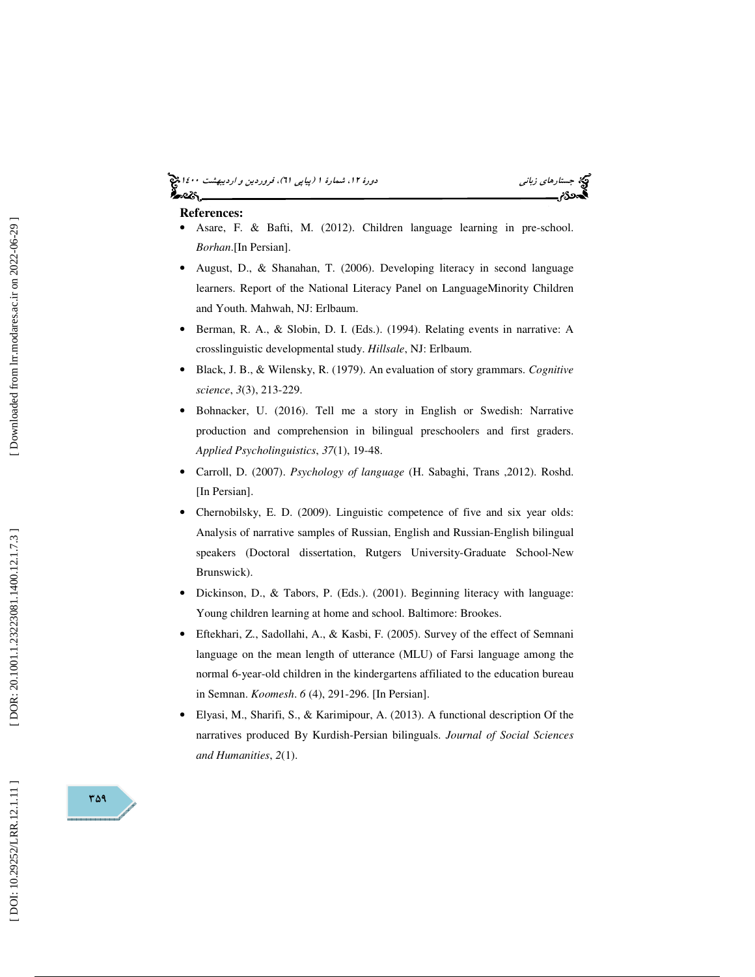#### (پياپي 61)، فروردين و ارديبهشت 1400 جستارهاي زباني دورة ،12 شمارة 1 ఏండ్న

- **References:**  Asare, F. & Bafti, M. (2012). Children language learning in pre-school. *Borhan*.[In Persian].
- August, D., & Shanahan, T. (2006). Developing literacy in second language learners. Report of the National Literacy Panel on LanguageMinority Children and Youth. Mahwah, NJ: Erlbaum.
- Berman, R. A., & Slobin, D. I. (Eds.). (1994). Relating events in narrative: A crosslinguistic developmental study. *Hillsale*, NJ: Erlbaum.
- Black, J. B., & Wilensky, R. (1979). An evaluation of story grammars. *Cognitive science*, *3*(3), 213-229.
- Bohnacker, U. (2016). Tell me a story in English or Swedish: Narrative production and comprehension in bilingual preschoolers and first graders. *Applied Psycholinguistics*, *37*(1), 19-48.
- Carroll, D. (2007). *Psychology of language* (H. Sabaghi, Trans ,2012). Roshd. [In Persian].
- Chernobilsky, E. D. (2009). Linguistic competence of five and six year olds: Analysis of narrative samples of Russian, English and Russian-English bilingual speakers (Doctoral dissertation, Rutgers University-Graduate School-New Brunswick).
- Dickinson, D., & Tabors, P. (Eds.). (2001). Beginning literacy with language: Young children learning at home and school. Baltimore: Brookes.
- Eftekhari, Z., Sadollahi, A., & Kasbi, F. (2005). Survey of the effect of Semnani language on the mean length of utterance (MLU) of Farsi language among the normal 6-year-old children in the kindergartens affiliated to the education bureau in Semnan. *Koomesh* . *6* (4), 291-296. [In Persian].
- Elyasi, M., Sharifi, S., & Karimipour, A. (2013). A functional description Of the narratives produced By Kurdish-Persian bilinguals. *Journal of Social Sciences and Humanities*, *2*(1).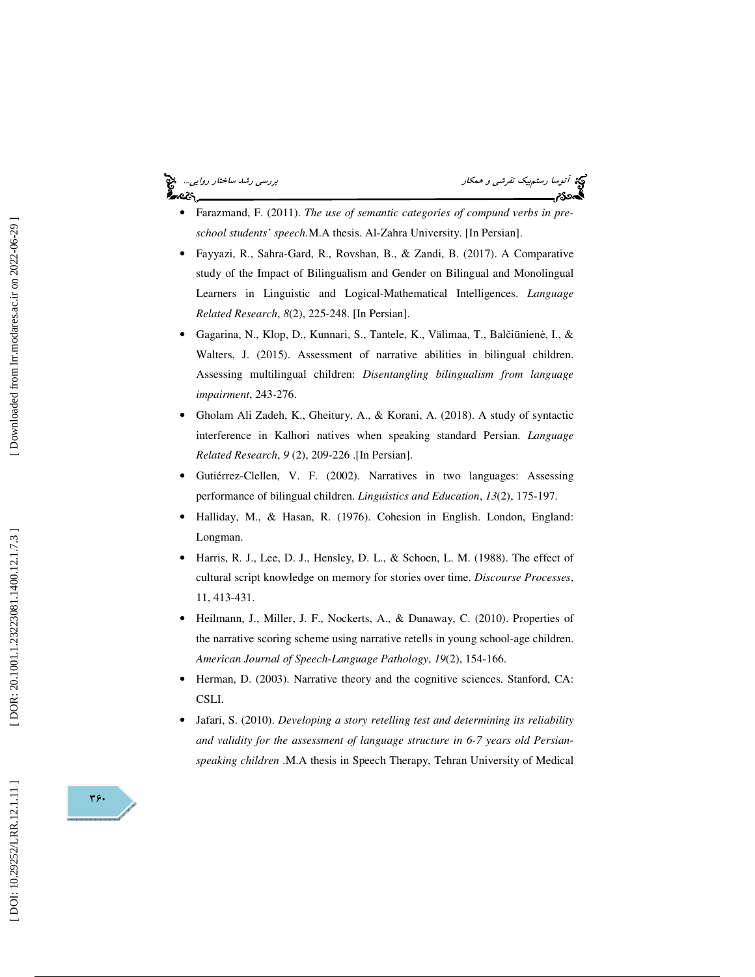# અવ્હર્

توپه آتوسا رستم*بيک تفرشي و همکار* بررسي رشد ساختار روايي...<br>**آتومبر بررسي بررسي بررسي بررسي بررسي بررسي بررسي بررسي بررسي بررسي بررسي بررسي بررسي بررسي بررسي بررسي بررسي بر** 

- Farazmand, F. (2011). *The use of semantic categories of compund verbs in preschool students' speech.*M.A thesis. Al-Zahra University. [In Persian].
- Fayyazi, R., Sahra-Gard, R., Rovshan, B., & Zandi, B. (2017). A Comparative study of the Impact of Bilingualism and Gender on Bilingual and Monolingual Learners in Linguistic and Logical-Mathematical Intelligences. *Language Related Research*, *8*(2), 225-248. [In Persian].
- Gagarina, N., Klop, D., Kunnari, S., Tantele, K., Välimaa, T., Bal č i ūnien ė, I., & Walters, J. (2015). Assessment of narrative abilities in bilingual children. Assessing multilingual children: *Disentangling bilingualism from language impairment*, 243-276.
- Gholam Ali Zadeh, K., Gheitury, A., & Korani, A. (2018). A study of syntactic interference in Kalhori natives when speaking standard Persian. *Language Related Research*, *9* (2), 209-226 .[In Persian].
- Gutiérrez-Clellen, V. F. (2002). Narratives in two languages: Assessing performance of bilingual children. *Linguistics and Education*, *13*(2), 175-197.
- Halliday, M., & Hasan, R. (1976). Cohesion in English. London, England: Longman.
- Harris, R. J., Lee, D. J., Hensley, D. L., & Schoen, L. M. (1988). The effect of cultural script knowledge on memory for stories over time. *Discourse Processes*, 11, 413-431.
- Heilmann, J., Miller, J. F., Nockerts, A., & Dunaway, C. (2010). Properties of the narrative scoring scheme using narrative retells in young school-age children. *American Journal of Speech-Language Pathology*, *19*(2), 154-166.
- Herman, D. (2003). Narrative theory and the cognitive sciences. Stanford, CA: CSLI.
- Jafari, S. (2010). *Developing a story retelling test and determining its reliability and validity for the assessment of language structure in 6-7 years old Persianspeaking children* .M.A thesis in Speech Therapy, Tehran University of Medical

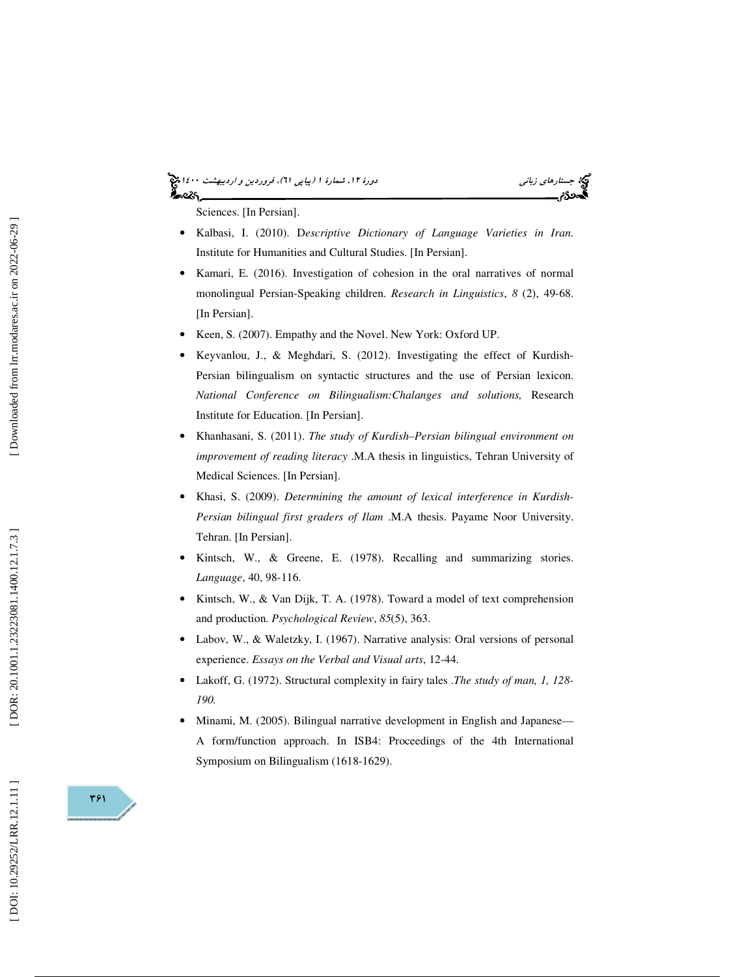# (پياپي 61)، فروردين و ارديبهشت 1400 جستارهاي زباني دورة ،12 شمارة 1

Sciences. [In Persian].

- Kalbasi, I. (2010). D*escriptive Dictionary of Language Varieties in Iran .* Institute for Humanities and Cultural Studies. [In Persian].
- Kamari, E. (2016). Investigation of cohesion in the oral narratives of normal monolingual Persian-Speaking children. *Research in Linguistics*, *8* (2), 49-68. [In Persian].
- Keen, S. (2007). Empathy and the Novel. New York: Oxford UP.
- Keyvanlou, J., & Meghdari, S. (2012). Investigating the effect of Kurdish-Persian bilingualism on syntactic structures and the use of Persian lexicon. *National Conference on Bilingualism:Chalanges and solutions,* Research Institute for Education. [In Persian].
- Khanhasani, S. (2011). *The study of Kurdish–Persian bilingual environment on improvement of reading literacy* .M.A thesis in linguistics, Tehran University of Medical Sciences. [In Persian].
- Khasi, S. (2009). *Determining the amount of lexical interference in Kurdish-Persian bilingual first graders of Ilam* .M.A thesis. Payame Noor University. Tehran. [In Persian].
- Kintsch, W., & Greene, E. (1978). Recalling and summarizing stories. *Language*, 40, 98-116.
- Kintsch, W., & Van Dijk, T. A. (1978). Toward a model of text comprehension and production. *Psychological Review*, *85*(5), 363.
- Labov, W., & Waletzky, I. (1967). Narrative analysis: Oral versions of personal experience. *Essays on the Verbal and Visual arts*, 12-44.
- Lakoff, G. (1972). Structural complexity in fairy tales .*The study of man, 1, 128- 190.*
- Minami, M. (2005). Bilingual narrative development in English and Japanese— A form/function approach. In ISB4: Proceedings of the 4th International Symposium on Bilingualism (1618-1629).

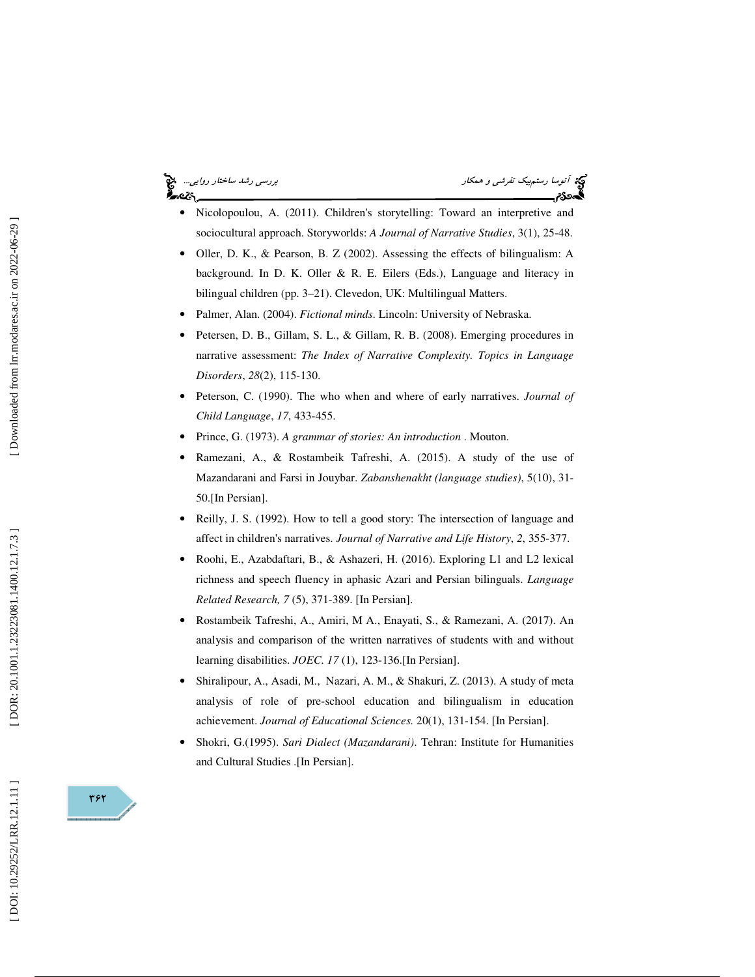توسیل رستمبر از ساختار روايي.... انتخاب تفرشي و همكار بررسي بررسي رشد ساختار روايي... انتخاب بررسي رشد ساختار <br>**آتون بررسي بررسي بررسي بررسي بررسي بررسي بررسي بررسي بررسي بررسي بررسي بررسي بررسي بررسي بررسي بررسي بررسي بر** 

- Nicolopoulou, A. (2011). Children's storytelling: Toward an interpretive and sociocultural approach. Storyworlds: *A Journal of Narrative Studies*, 3(1), 25-48.
- Oller, D. K., & Pearson, B. Z (2002). Assessing the effects of bilingualism: A background. In D. K. Oller & R. E. Eilers (Eds.), Language and literacy in bilingual children (pp. 3–21). Clevedon, UK: Multilingual Matters.
- Palmer, Alan. (2004). *Fictional minds*. Lincoln: University of Nebraska.
- Petersen, D. B., Gillam, S. L., & Gillam, R. B. (2008). Emerging procedures in narrative assessment: *The Index of Narrative Complexity. Topics in Language Disorders*, *28*(2), 115-130.
- Peterson, C. (1990). The who when and where of early narratives. *Journal of Child Language*, *17*, 433-455.
- Prince, G. (1973). *A grammar of stories: An introduction* . Mouton.
- Ramezani, A., & Rostambeik Tafreshi, A. (2015). A study of the use of Mazandarani and Farsi in Jouybar. *Zabanshenakht (language studies)*, 5(10), 31- 50.[In Persian].
- Reilly, J. S. (1992). How to tell a good story: The intersection of language and affect in children's narratives. *Journal of Narrative and Life History*, *2*, 355-377.
- Roohi, E., Azabdaftari, B., & Ashazeri, H. (2016). Exploring L1 and L2 lexical richness and speech fluency in aphasic Azari and Persian bilinguals. *Language Related Research, 7* (5), 371-389. [In Persian].
- Rostambeik Tafreshi, A., Amiri, M A., Enayati, S., & Ramezani, A. (2017). An analysis and comparison of the written narratives of students with and without learning disabilities. *JOEC*. *17* (1), 123-136.[In Persian].
- Shiralipour, A., Asadi, M., Nazari, A. M., & Shakuri, Z. (2013). A study of meta analysis of role of pre-school education and bilingualism in education achievement. *Journal of Educational Sciences.* 20(1), 131-154. [In Persian].
- Shokri, G.(1995). *Sari Dialect (Mazandarani)*. Tehran: Institute for Humanities and Cultural Studies .[In Persian].



DOR: 20.1001.1.23223081.1400.12.1.7.3

Downloaded from lrr.modares.ac.ir on 2022-06-29